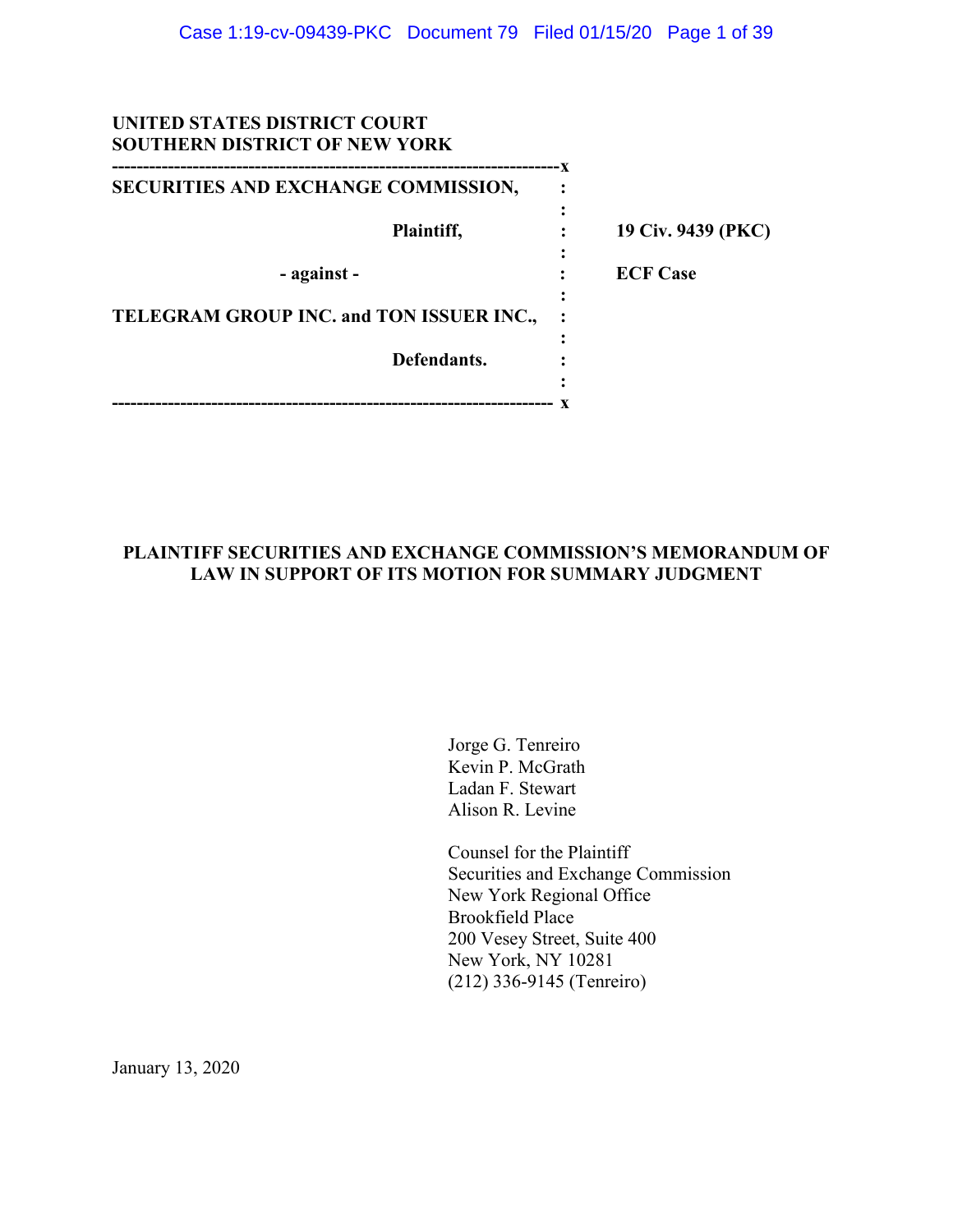| UNITED STATES DISTRICT COURT<br><b>SOUTHERN DISTRICT OF NEW YORK</b> |   |                    |
|----------------------------------------------------------------------|---|--------------------|
| SECURITIES AND EXCHANGE COMMISSION,                                  |   |                    |
| Plaintiff,                                                           | ٠ | 19 Civ. 9439 (PKC) |
| - against -                                                          |   | <b>ECF Case</b>    |
| TELEGRAM GROUP INC. and TON ISSUER INC.,                             |   |                    |
| Defendants.                                                          |   |                    |
|                                                                      |   |                    |

# **PLAINTIFF SECURITIES AND EXCHANGE COMMISSION'S MEMORANDUM OF LAW IN SUPPORT OF ITS MOTION FOR SUMMARY JUDGMENT**

Jorge G. Tenreiro Kevin P. McGrath Ladan F. Stewart Alison R. Levine

Counsel for the Plaintiff Securities and Exchange Commission New York Regional Office Brookfield Place 200 Vesey Street, Suite 400 New York, NY 10281 (212) 336-9145 (Tenreiro)

January 13, 2020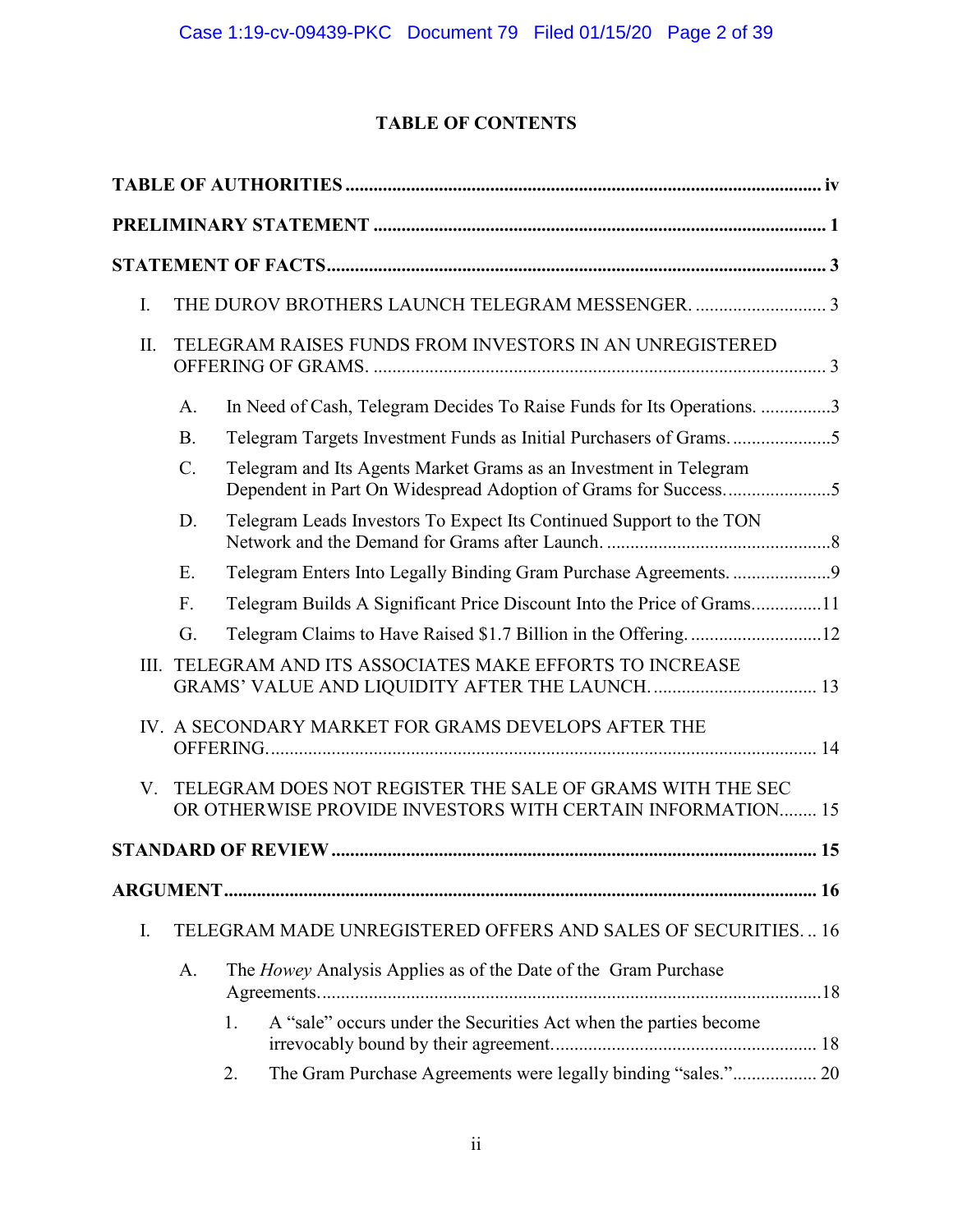# **TABLE OF CONTENTS**

| I.   |           | THE DUROV BROTHERS LAUNCH TELEGRAM MESSENGER. 3                                                                                     |
|------|-----------|-------------------------------------------------------------------------------------------------------------------------------------|
| II.  |           | TELEGRAM RAISES FUNDS FROM INVESTORS IN AN UNREGISTERED                                                                             |
|      | A.        | In Need of Cash, Telegram Decides To Raise Funds for Its Operations. 3                                                              |
|      | <b>B.</b> | Telegram Targets Investment Funds as Initial Purchasers of Grams5                                                                   |
|      | $C$ .     | Telegram and Its Agents Market Grams as an Investment in Telegram<br>Dependent in Part On Widespread Adoption of Grams for Success5 |
|      | D.        | Telegram Leads Investors To Expect Its Continued Support to the TON                                                                 |
|      | E.        |                                                                                                                                     |
|      | F.        | Telegram Builds A Significant Price Discount Into the Price of Grams11                                                              |
|      | G.        |                                                                                                                                     |
| III. |           | TELEGRAM AND ITS ASSOCIATES MAKE EFFORTS TO INCREASE                                                                                |
|      |           | IV. A SECONDARY MARKET FOR GRAMS DEVELOPS AFTER THE                                                                                 |
| V.   |           | TELEGRAM DOES NOT REGISTER THE SALE OF GRAMS WITH THE SEC<br>OR OTHERWISE PROVIDE INVESTORS WITH CERTAIN INFORMATION 15             |
|      |           |                                                                                                                                     |
|      |           |                                                                                                                                     |
| I.   |           | TELEGRAM MADE UNREGISTERED OFFERS AND SALES OF SECURITIES 16                                                                        |
|      | A.        | The Howey Analysis Applies as of the Date of the Gram Purchase                                                                      |
|      |           | A "sale" occurs under the Securities Act when the parties become<br>1.                                                              |
|      |           | The Gram Purchase Agreements were legally binding "sales." 20<br>2.                                                                 |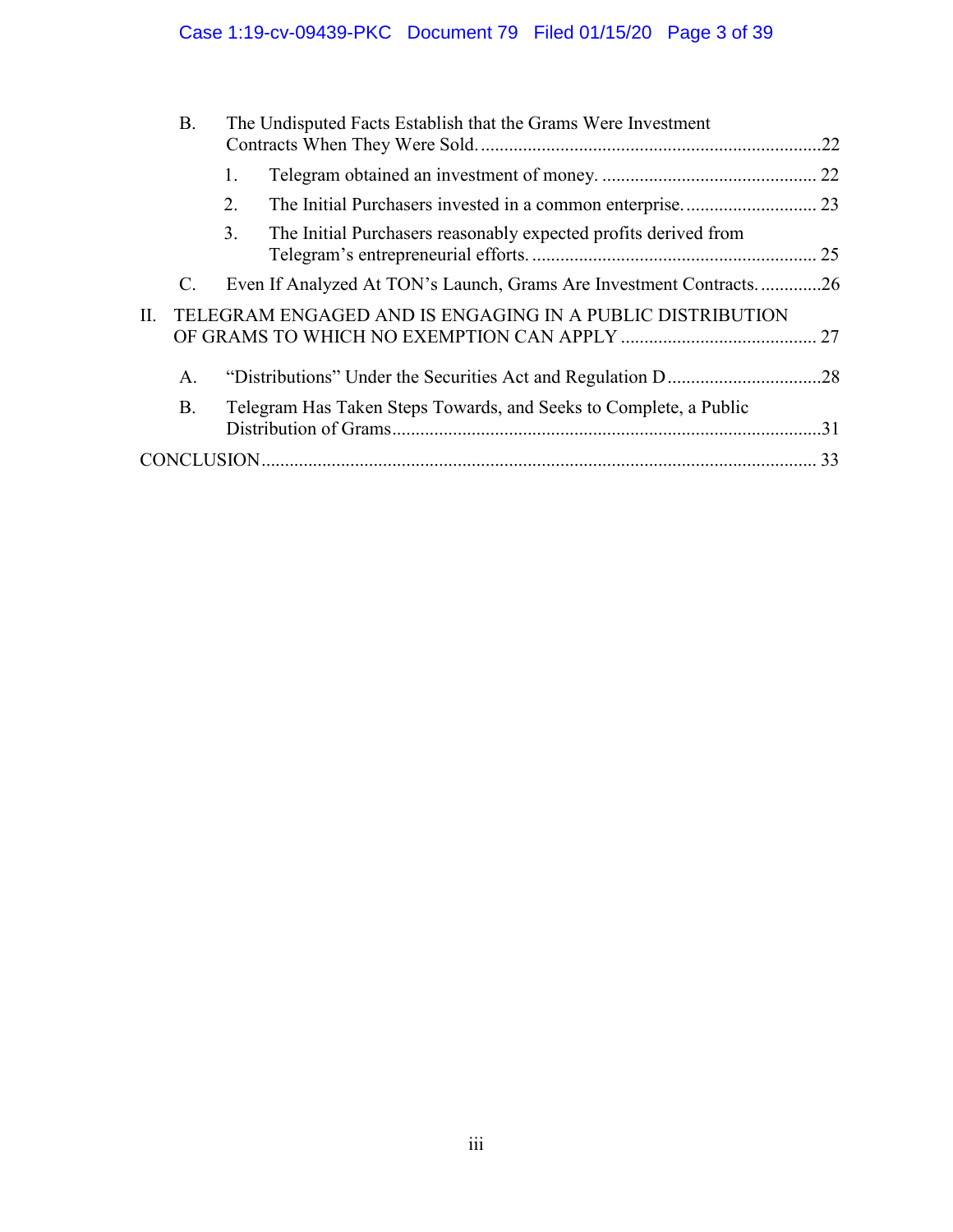|    | <b>B.</b> | The Undisputed Facts Establish that the Grams Were Investment         |  |
|----|-----------|-----------------------------------------------------------------------|--|
|    |           | 1.                                                                    |  |
|    |           | 2.                                                                    |  |
|    |           | 3.<br>The Initial Purchasers reasonably expected profits derived from |  |
|    | C.        | Even If Analyzed At TON's Launch, Grams Are Investment Contracts26    |  |
| П. |           | TELEGRAM ENGAGED AND IS ENGAGING IN A PUBLIC DISTRIBUTION             |  |
|    | A.        |                                                                       |  |
|    | <b>B.</b> | Telegram Has Taken Steps Towards, and Seeks to Complete, a Public     |  |
|    |           |                                                                       |  |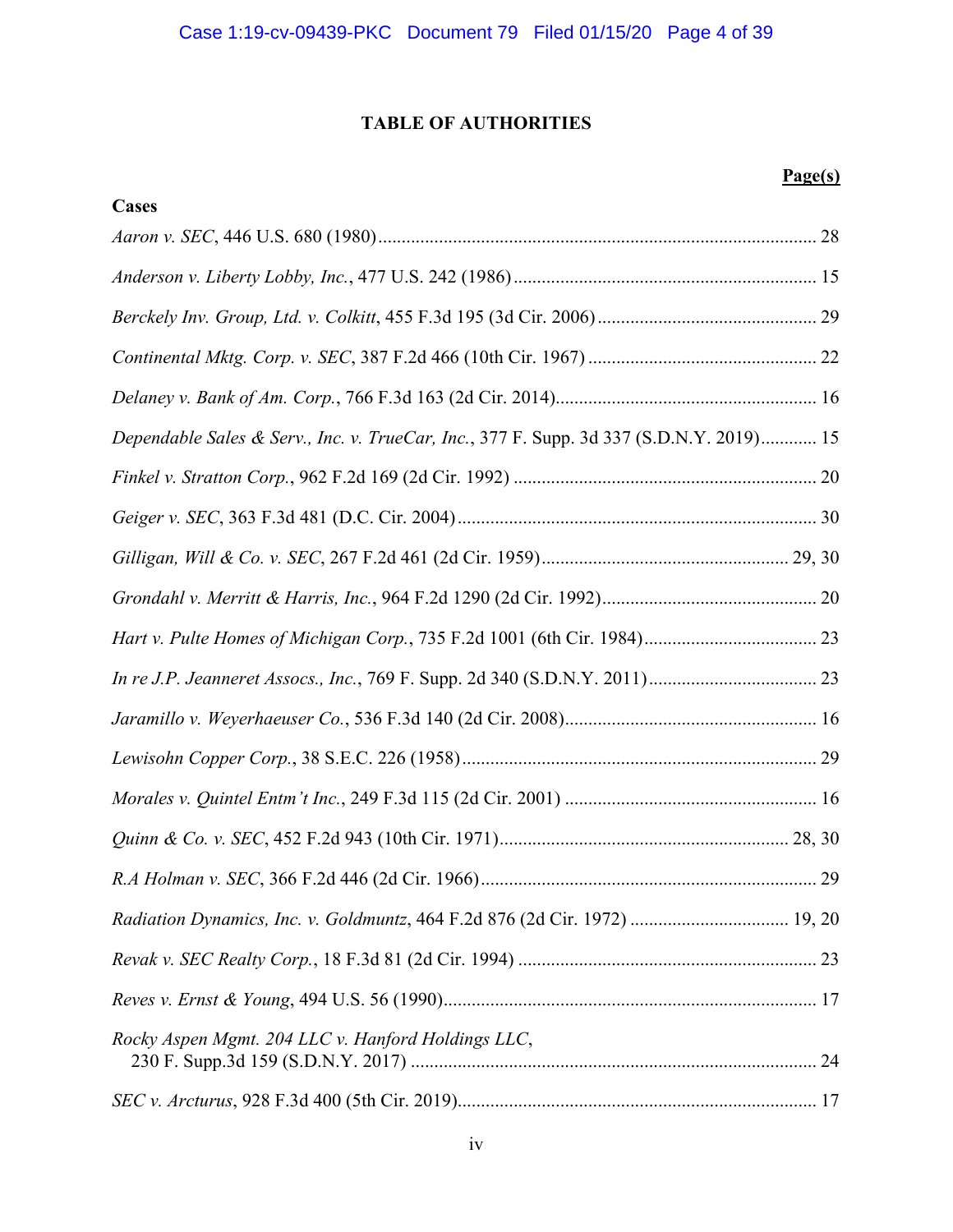# **TABLE OF AUTHORITIES**

# **Page(s)**

| <b>Cases</b>                                                                            |
|-----------------------------------------------------------------------------------------|
|                                                                                         |
|                                                                                         |
|                                                                                         |
|                                                                                         |
|                                                                                         |
| Dependable Sales & Serv., Inc. v. TrueCar, Inc., 377 F. Supp. 3d 337 (S.D.N.Y. 2019) 15 |
|                                                                                         |
|                                                                                         |
|                                                                                         |
|                                                                                         |
|                                                                                         |
|                                                                                         |
|                                                                                         |
|                                                                                         |
|                                                                                         |
|                                                                                         |
|                                                                                         |
| Radiation Dynamics, Inc. v. Goldmuntz, 464 F.2d 876 (2d Cir. 1972)  19, 20              |
|                                                                                         |
|                                                                                         |
| Rocky Aspen Mgmt. 204 LLC v. Hanford Holdings LLC,                                      |
|                                                                                         |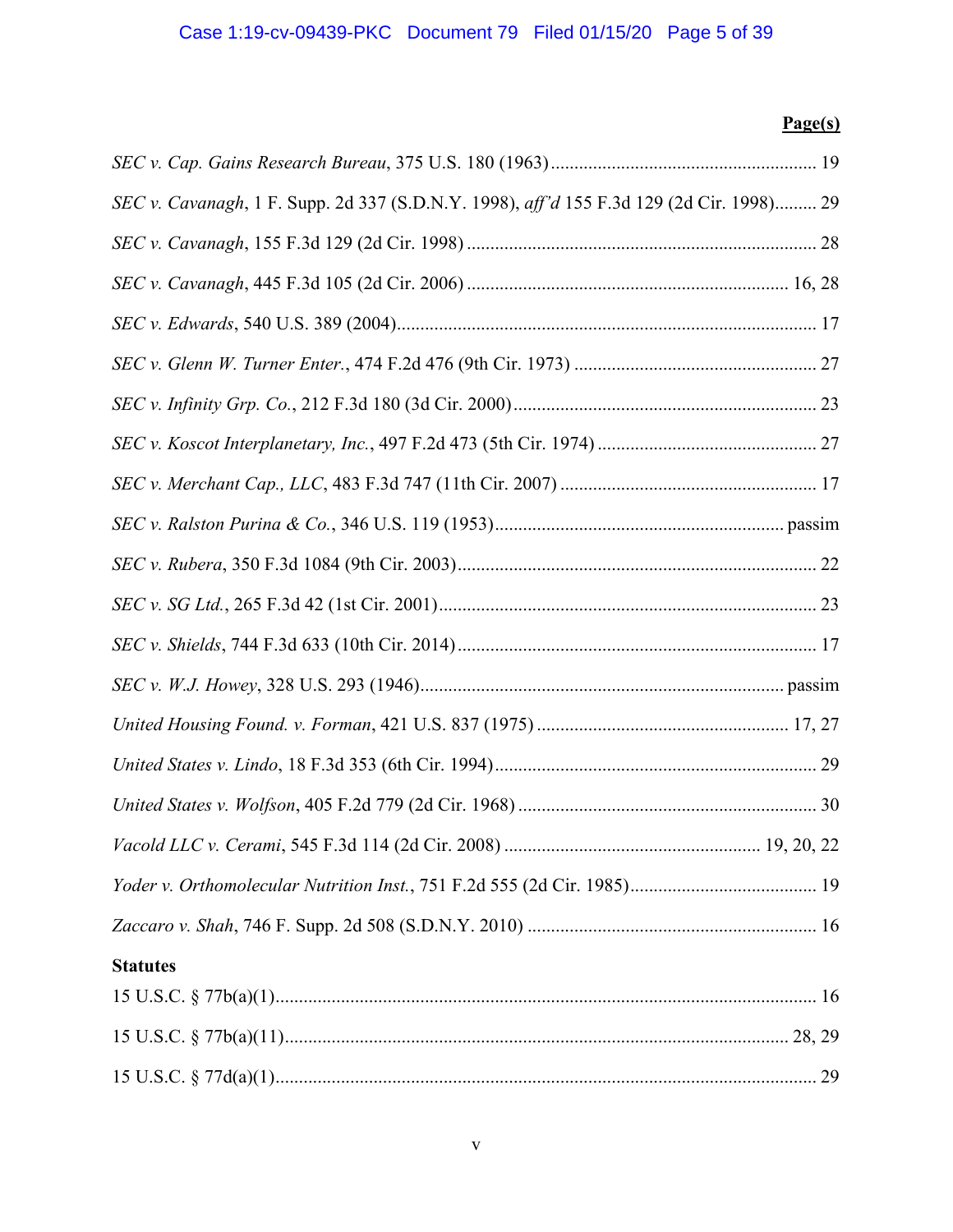# Case 1:19-cv-09439-PKC Document 79 Filed 01/15/20 Page 5 of 39

# **Page(s)**

| SEC v. Cavanagh, 1 F. Supp. 2d 337 (S.D.N.Y. 1998), aff'd 155 F.3d 129 (2d Cir. 1998) 29 |
|------------------------------------------------------------------------------------------|
|                                                                                          |
|                                                                                          |
|                                                                                          |
|                                                                                          |
|                                                                                          |
|                                                                                          |
|                                                                                          |
|                                                                                          |
|                                                                                          |
|                                                                                          |
|                                                                                          |
|                                                                                          |
|                                                                                          |
|                                                                                          |
|                                                                                          |
|                                                                                          |
|                                                                                          |
|                                                                                          |
| <b>Statutes</b>                                                                          |
|                                                                                          |
|                                                                                          |
|                                                                                          |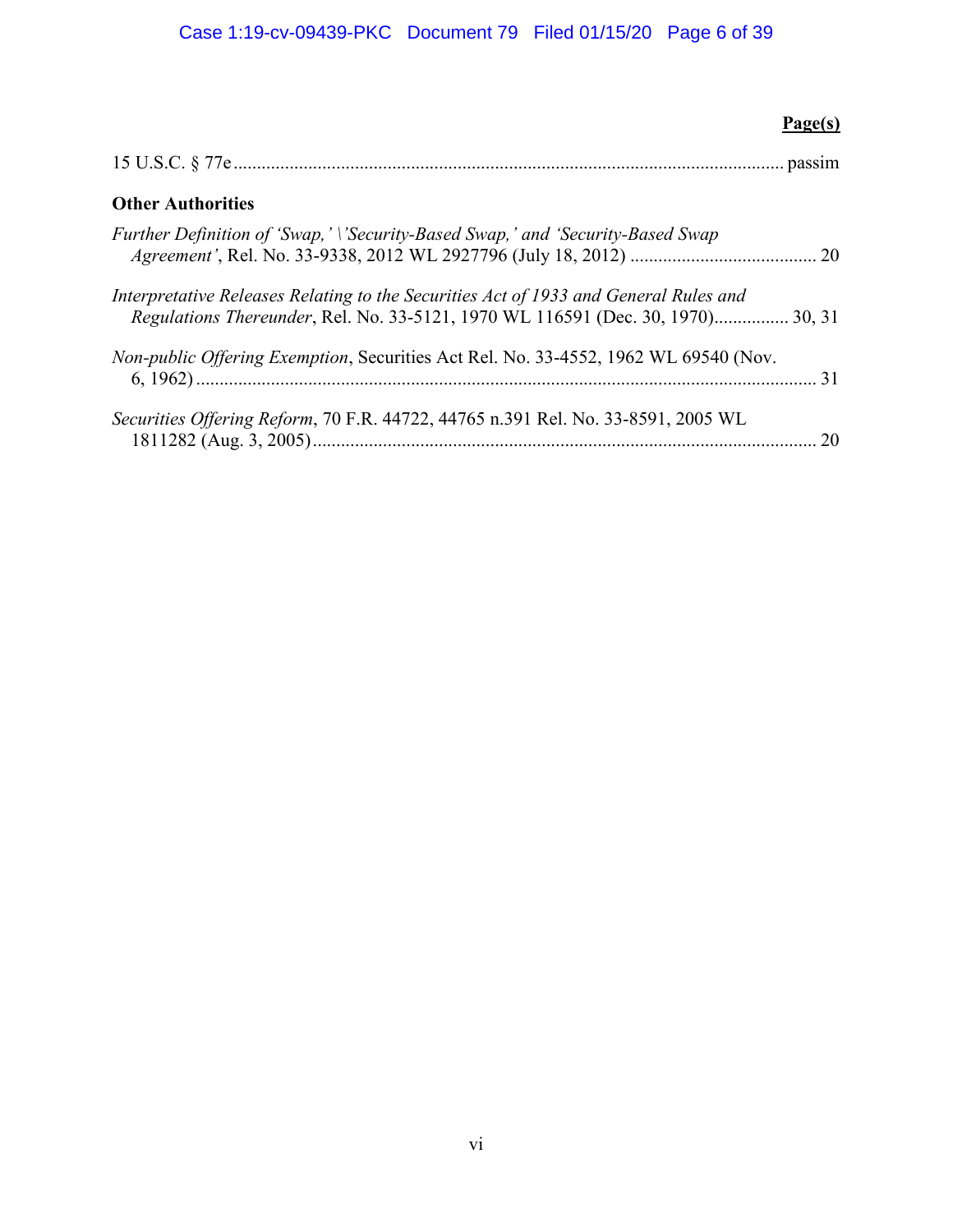| Page(s)                                                                                                                                                                 |  |
|-------------------------------------------------------------------------------------------------------------------------------------------------------------------------|--|
|                                                                                                                                                                         |  |
| <b>Other Authorities</b>                                                                                                                                                |  |
| Further Definition of 'Swap,' \'Security-Based Swap,' and 'Security-Based Swap                                                                                          |  |
| Interpretative Releases Relating to the Securities Act of 1933 and General Rules and<br>Regulations Thereunder, Rel. No. 33-5121, 1970 WL 116591 (Dec. 30, 1970) 30, 31 |  |
| <i>Non-public Offering Exemption, Securities Act Rel. No. 33-4552, 1962 WL 69540 (Nov.</i>                                                                              |  |
| Securities Offering Reform, 70 F.R. 44722, 44765 n.391 Rel. No. 33-8591, 2005 WL<br>20                                                                                  |  |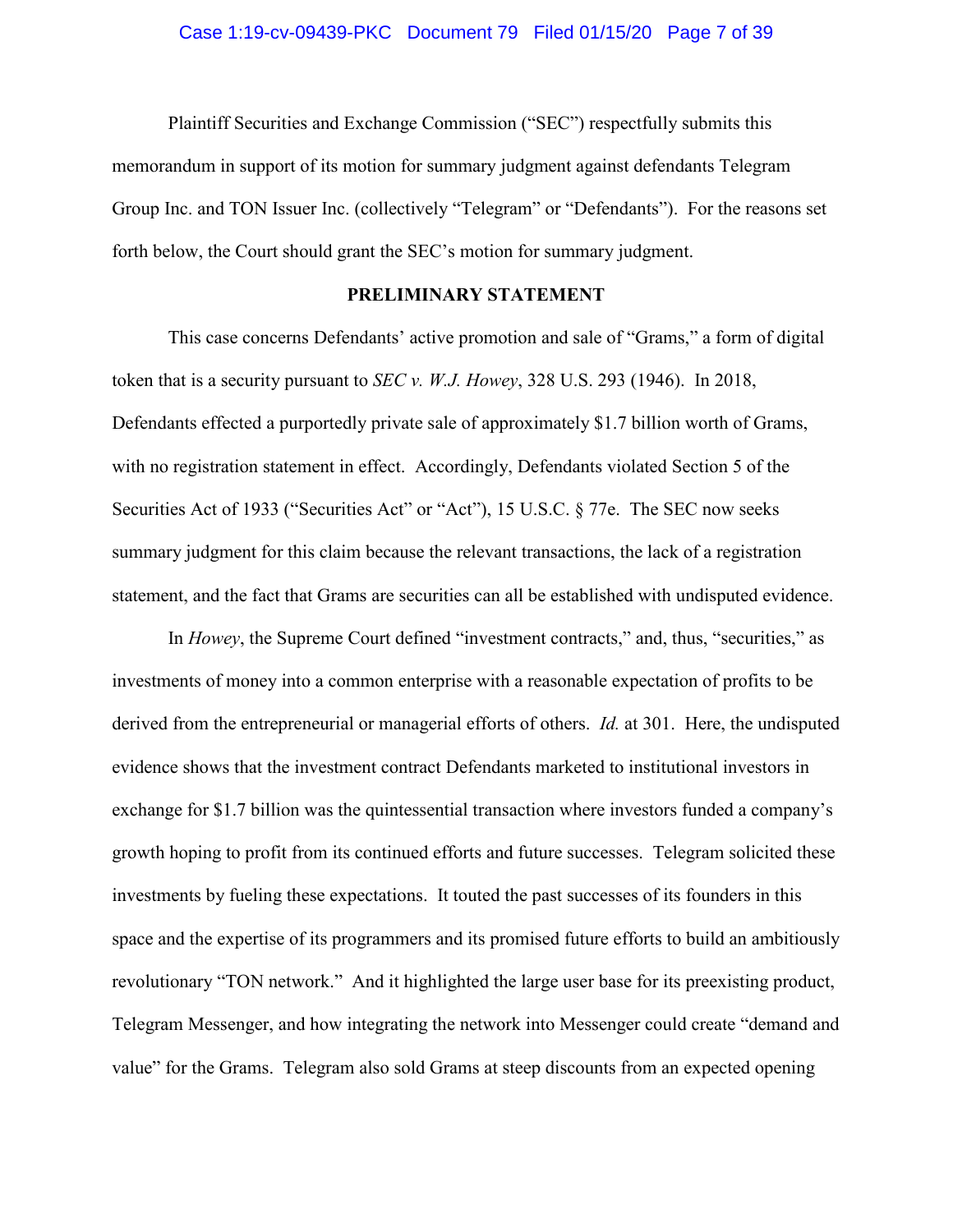#### Case 1:19-cv-09439-PKC Document 79 Filed 01/15/20 Page 7 of 39

Plaintiff Securities and Exchange Commission ("SEC") respectfully submits this memorandum in support of its motion for summary judgment against defendants Telegram Group Inc. and TON Issuer Inc. (collectively "Telegram" or "Defendants"). For the reasons set forth below, the Court should grant the SEC's motion for summary judgment.

# **PRELIMINARY STATEMENT**

This case concerns Defendants' active promotion and sale of "Grams," a form of digital token that is a security pursuant to *SEC v. W.J. Howey*, 328 U.S. 293 (1946). In 2018, Defendants effected a purportedly private sale of approximately \$1.7 billion worth of Grams, with no registration statement in effect. Accordingly, Defendants violated Section 5 of the Securities Act of 1933 ("Securities Act" or "Act"), 15 U.S.C. § 77e. The SEC now seeks summary judgment for this claim because the relevant transactions, the lack of a registration statement, and the fact that Grams are securities can all be established with undisputed evidence.

In *Howey*, the Supreme Court defined "investment contracts," and, thus, "securities," as investments of money into a common enterprise with a reasonable expectation of profits to be derived from the entrepreneurial or managerial efforts of others. *Id.* at 301. Here, the undisputed evidence shows that the investment contract Defendants marketed to institutional investors in exchange for \$1.7 billion was the quintessential transaction where investors funded a company's growth hoping to profit from its continued efforts and future successes. Telegram solicited these investments by fueling these expectations. It touted the past successes of its founders in this space and the expertise of its programmers and its promised future efforts to build an ambitiously revolutionary "TON network." And it highlighted the large user base for its preexisting product, Telegram Messenger, and how integrating the network into Messenger could create "demand and value" for the Grams. Telegram also sold Grams at steep discounts from an expected opening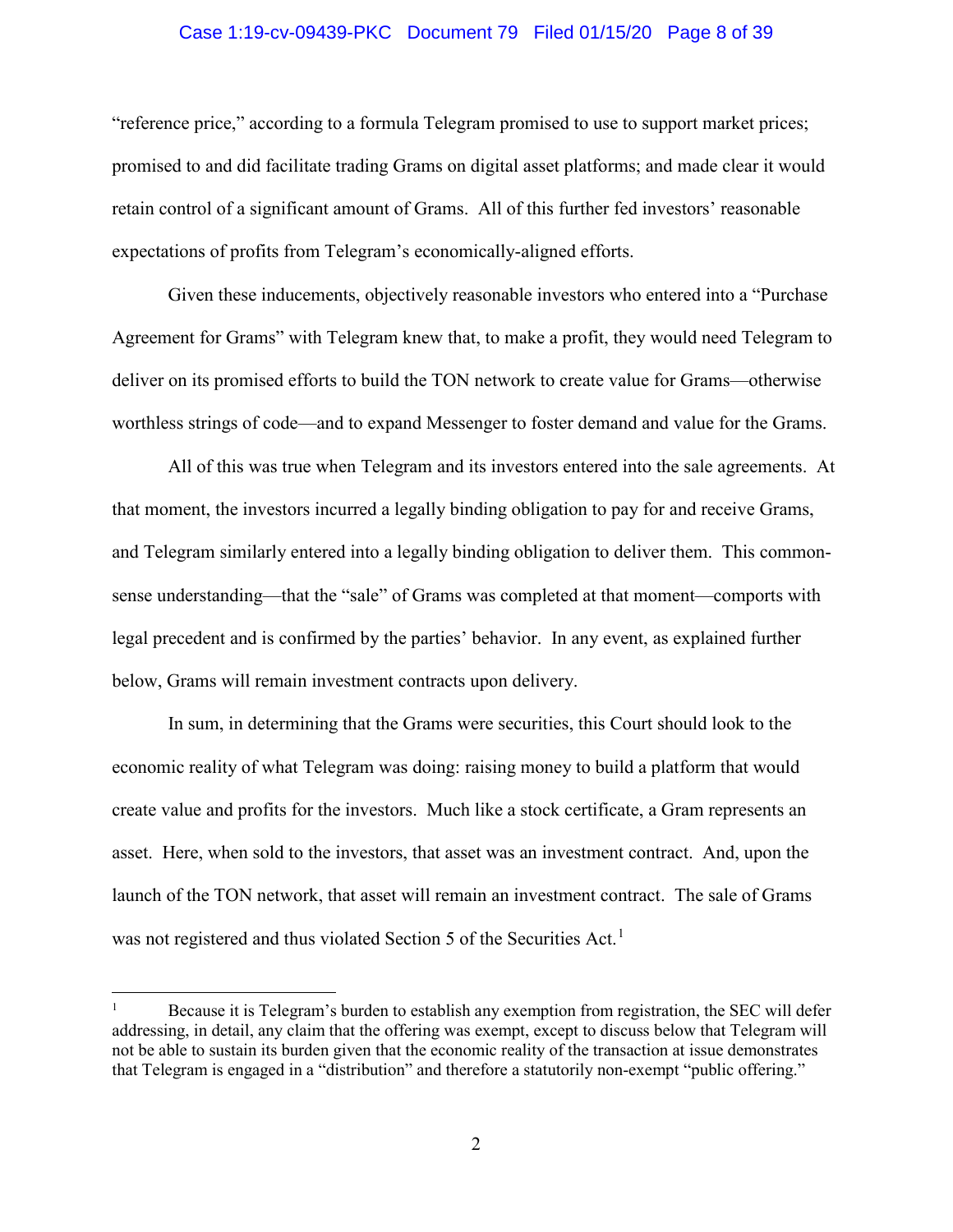#### Case 1:19-cv-09439-PKC Document 79 Filed 01/15/20 Page 8 of 39

"reference price," according to a formula Telegram promised to use to support market prices; promised to and did facilitate trading Grams on digital asset platforms; and made clear it would retain control of a significant amount of Grams. All of this further fed investors' reasonable expectations of profits from Telegram's economically-aligned efforts.

Given these inducements, objectively reasonable investors who entered into a "Purchase Agreement for Grams" with Telegram knew that, to make a profit, they would need Telegram to deliver on its promised efforts to build the TON network to create value for Grams—otherwise worthless strings of code—and to expand Messenger to foster demand and value for the Grams.

All of this was true when Telegram and its investors entered into the sale agreements. At that moment, the investors incurred a legally binding obligation to pay for and receive Grams, and Telegram similarly entered into a legally binding obligation to deliver them. This commonsense understanding—that the "sale" of Grams was completed at that moment—comports with legal precedent and is confirmed by the parties' behavior. In any event, as explained further below, Grams will remain investment contracts upon delivery.

In sum, in determining that the Grams were securities, this Court should look to the economic reality of what Telegram was doing: raising money to build a platform that would create value and profits for the investors. Much like a stock certificate, a Gram represents an asset. Here, when sold to the investors, that asset was an investment contract. And, upon the launch of the TON network, that asset will remain an investment contract. The sale of Grams was not registered and thus violated Section 5 of the Securities Act.<sup>1</sup>

<sup>1</sup> Because it is Telegram's burden to establish any exemption from registration, the SEC will defer addressing, in detail, any claim that the offering was exempt, except to discuss below that Telegram will not be able to sustain its burden given that the economic reality of the transaction at issue demonstrates that Telegram is engaged in a "distribution" and therefore a statutorily non-exempt "public offering."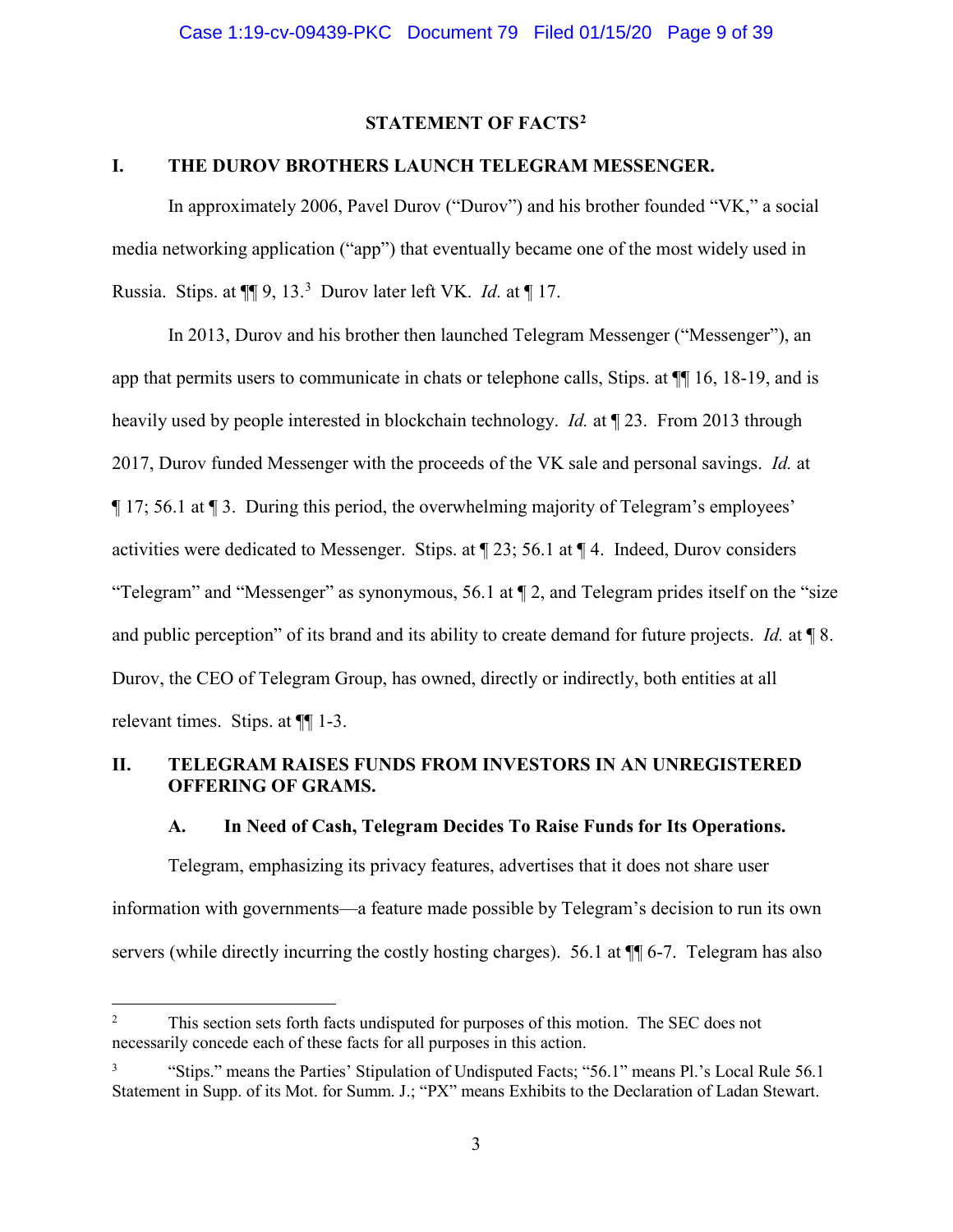# **STATEMENT OF FACTS2**

# **I. THE DUROV BROTHERS LAUNCH TELEGRAM MESSENGER.**

In approximately 2006, Pavel Durov ("Durov") and his brother founded "VK," a social media networking application ("app") that eventually became one of the most widely used in Russia. Stips. at ¶¶ 9, 13.<sup>3</sup> Durov later left VK. *Id.* at ¶ 17.

In 2013, Durov and his brother then launched Telegram Messenger ("Messenger"), an app that permits users to communicate in chats or telephone calls, Stips. at ¶¶ 16, 18-19, and is heavily used by people interested in blockchain technology. *Id.* at ¶ 23. From 2013 through 2017, Durov funded Messenger with the proceeds of the VK sale and personal savings. *Id.* at ¶ 17; 56.1 at ¶ 3. During this period, the overwhelming majority of Telegram's employees' activities were dedicated to Messenger. Stips. at ¶ 23; 56.1 at ¶ 4. Indeed, Durov considers "Telegram" and "Messenger" as synonymous, 56.1 at ¶ 2, and Telegram prides itself on the "size and public perception" of its brand and its ability to create demand for future projects. *Id.* at ¶ 8. Durov, the CEO of Telegram Group, has owned, directly or indirectly, both entities at all relevant times. Stips. at ¶¶ 1-3.

# **II. TELEGRAM RAISES FUNDS FROM INVESTORS IN AN UNREGISTERED OFFERING OF GRAMS.**

### **A. In Need of Cash, Telegram Decides To Raise Funds for Its Operations.**

Telegram, emphasizing its privacy features, advertises that it does not share user information with governments—a feature made possible by Telegram's decision to run its own servers (while directly incurring the costly hosting charges). 56.1 at  $\P$  6-7. Telegram has also

<sup>2</sup> This section sets forth facts undisputed for purposes of this motion. The SEC does not necessarily concede each of these facts for all purposes in this action.

<sup>3</sup> "Stips." means the Parties' Stipulation of Undisputed Facts; "56.1" means Pl.'s Local Rule 56.1 Statement in Supp. of its Mot. for Summ. J.; "PX" means Exhibits to the Declaration of Ladan Stewart.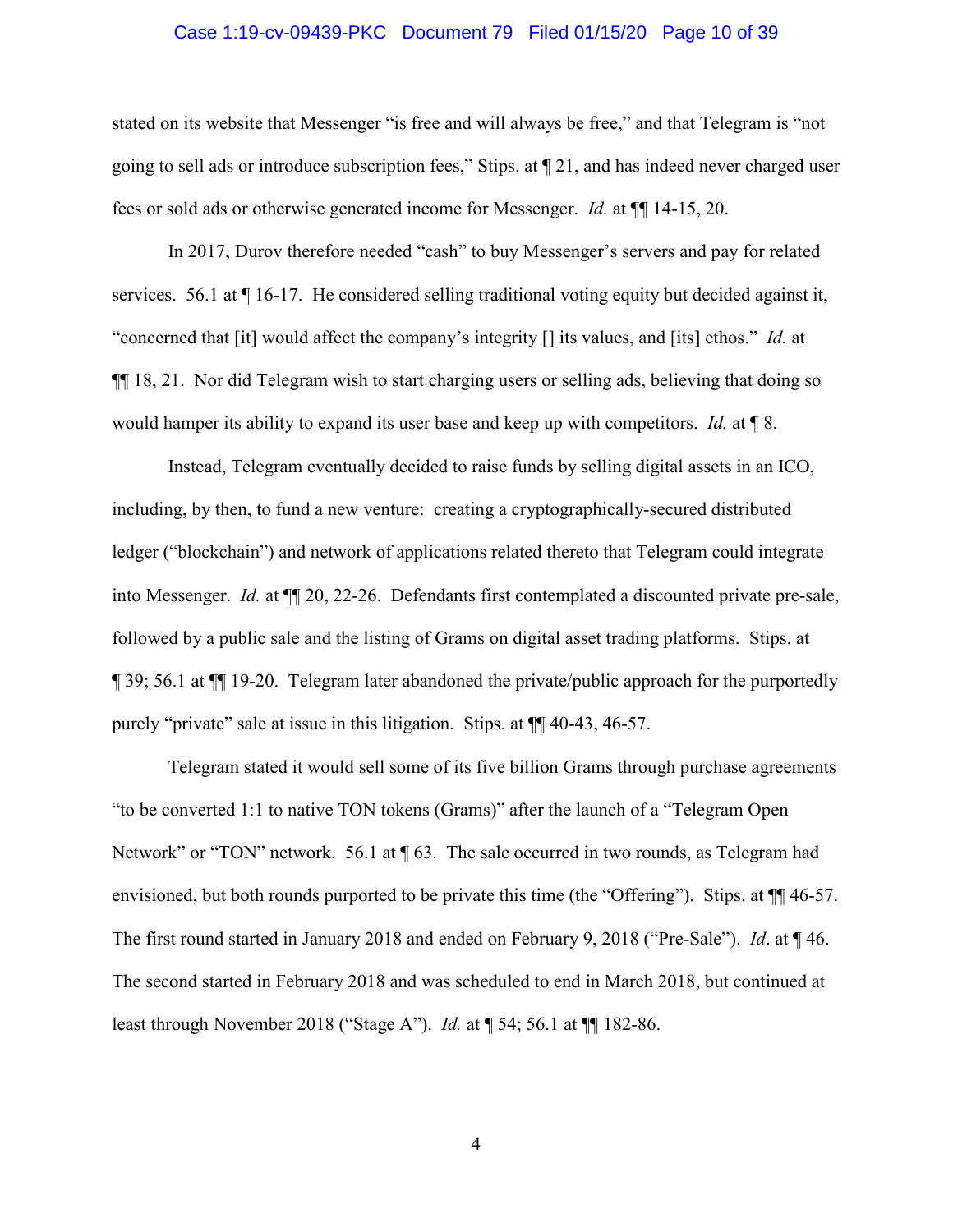#### Case 1:19-cv-09439-PKC Document 79 Filed 01/15/20 Page 10 of 39

stated on its website that Messenger "is free and will always be free," and that Telegram is "not going to sell ads or introduce subscription fees," Stips. at ¶ 21, and has indeed never charged user fees or sold ads or otherwise generated income for Messenger. *Id.* at ¶¶ 14-15, 20.

In 2017, Durov therefore needed "cash" to buy Messenger's servers and pay for related services. 56.1 at  $\P$  16-17. He considered selling traditional voting equity but decided against it, "concerned that [it] would affect the company's integrity [] its values, and [its] ethos." *Id.* at ¶¶ 18, 21. Nor did Telegram wish to start charging users or selling ads, believing that doing so would hamper its ability to expand its user base and keep up with competitors. *Id.* at ¶ 8.

Instead, Telegram eventually decided to raise funds by selling digital assets in an ICO, including, by then, to fund a new venture: creating a cryptographically-secured distributed ledger ("blockchain") and network of applications related thereto that Telegram could integrate into Messenger. *Id.* at ¶¶ 20, 22-26. Defendants first contemplated a discounted private pre-sale, followed by a public sale and the listing of Grams on digital asset trading platforms. Stips. at ¶ 39; 56.1 at ¶¶ 19-20. Telegram later abandoned the private/public approach for the purportedly purely "private" sale at issue in this litigation. Stips. at ¶¶ 40-43, 46-57.

Telegram stated it would sell some of its five billion Grams through purchase agreements "to be converted 1:1 to native TON tokens (Grams)" after the launch of a "Telegram Open Network" or "TON" network. 56.1 at  $\sqrt{ }$  63. The sale occurred in two rounds, as Telegram had envisioned, but both rounds purported to be private this time (the "Offering"). Stips. at  $\P$  46-57. The first round started in January 2018 and ended on February 9, 2018 ("Pre-Sale"). *Id*. at ¶ 46. The second started in February 2018 and was scheduled to end in March 2018, but continued at least through November 2018 ("Stage A"). *Id.* at ¶ 54; 56.1 at ¶¶ 182-86.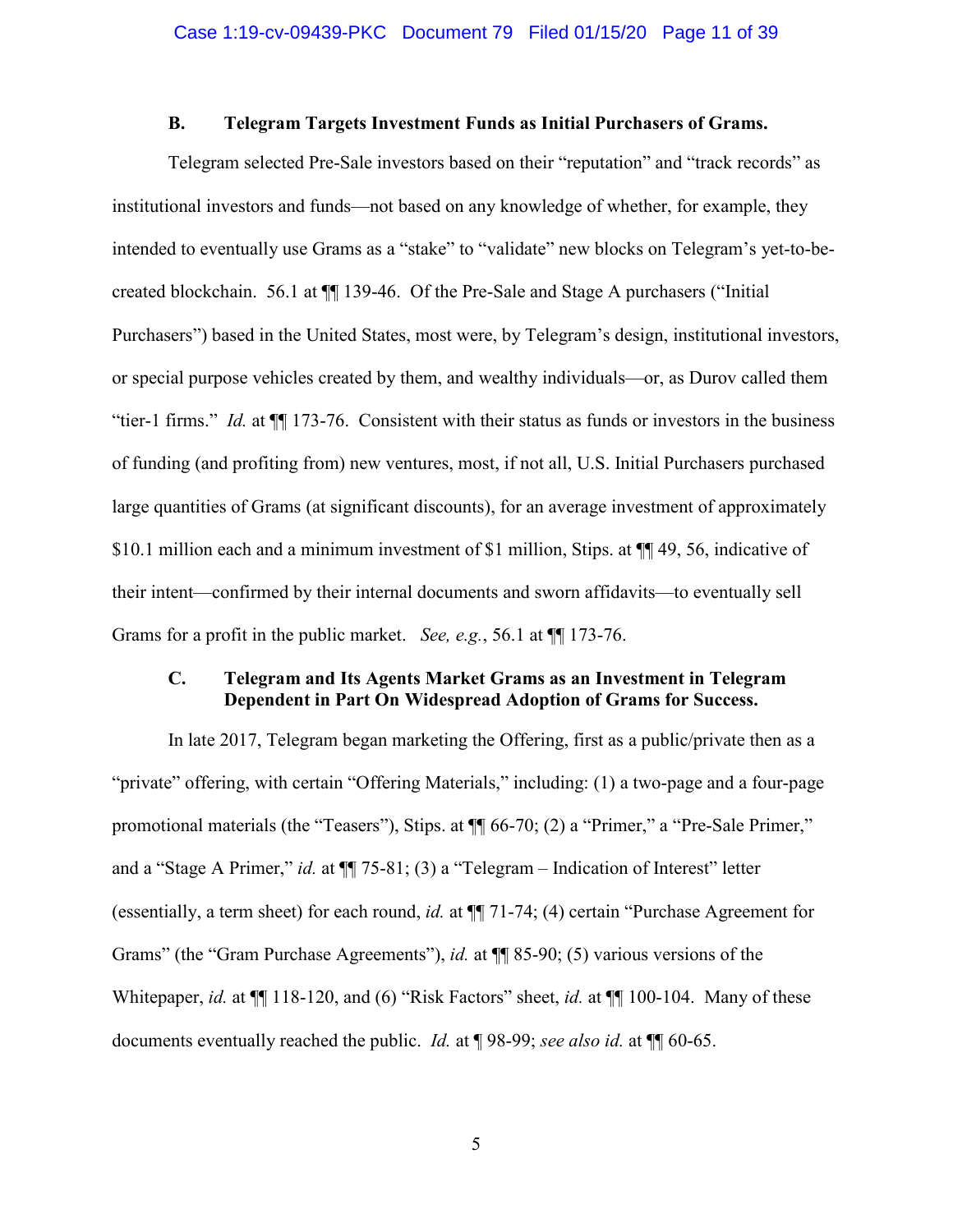## **B. Telegram Targets Investment Funds as Initial Purchasers of Grams.**

Telegram selected Pre-Sale investors based on their "reputation" and "track records" as institutional investors and funds—not based on any knowledge of whether, for example, they intended to eventually use Grams as a "stake" to "validate" new blocks on Telegram's yet-to-becreated blockchain. 56.1 at ¶¶ 139-46. Of the Pre-Sale and Stage A purchasers ("Initial Purchasers") based in the United States, most were, by Telegram's design, institutional investors, or special purpose vehicles created by them, and wealthy individuals—or, as Durov called them "tier-1 firms." *Id.* at ¶¶ 173-76. Consistent with their status as funds or investors in the business of funding (and profiting from) new ventures, most, if not all, U.S. Initial Purchasers purchased large quantities of Grams (at significant discounts), for an average investment of approximately \$10.1 million each and a minimum investment of \$1 million, Stips. at  $\P$  49, 56, indicative of their intent—confirmed by their internal documents and sworn affidavits—to eventually sell Grams for a profit in the public market. *See, e.g.*, 56.1 at ¶¶ 173-76.

# **C. Telegram and Its Agents Market Grams as an Investment in Telegram Dependent in Part On Widespread Adoption of Grams for Success.**

In late 2017, Telegram began marketing the Offering, first as a public/private then as a "private" offering, with certain "Offering Materials," including: (1) a two-page and a four-page promotional materials (the "Teasers"), Stips. at ¶¶ 66-70; (2) a "Primer," a "Pre-Sale Primer," and a "Stage A Primer," *id.* at  $\P$  75-81; (3) a "Telegram – Indication of Interest" letter (essentially, a term sheet) for each round, *id.* at ¶¶ 71-74; (4) certain "Purchase Agreement for Grams" (the "Gram Purchase Agreements"), *id.* at  $\P$  85-90; (5) various versions of the Whitepaper, *id.* at ¶¶ 118-120, and (6) "Risk Factors" sheet, *id.* at ¶¶ 100-104. Many of these documents eventually reached the public. *Id.* at ¶ 98-99; *see also id.* at ¶¶ 60-65.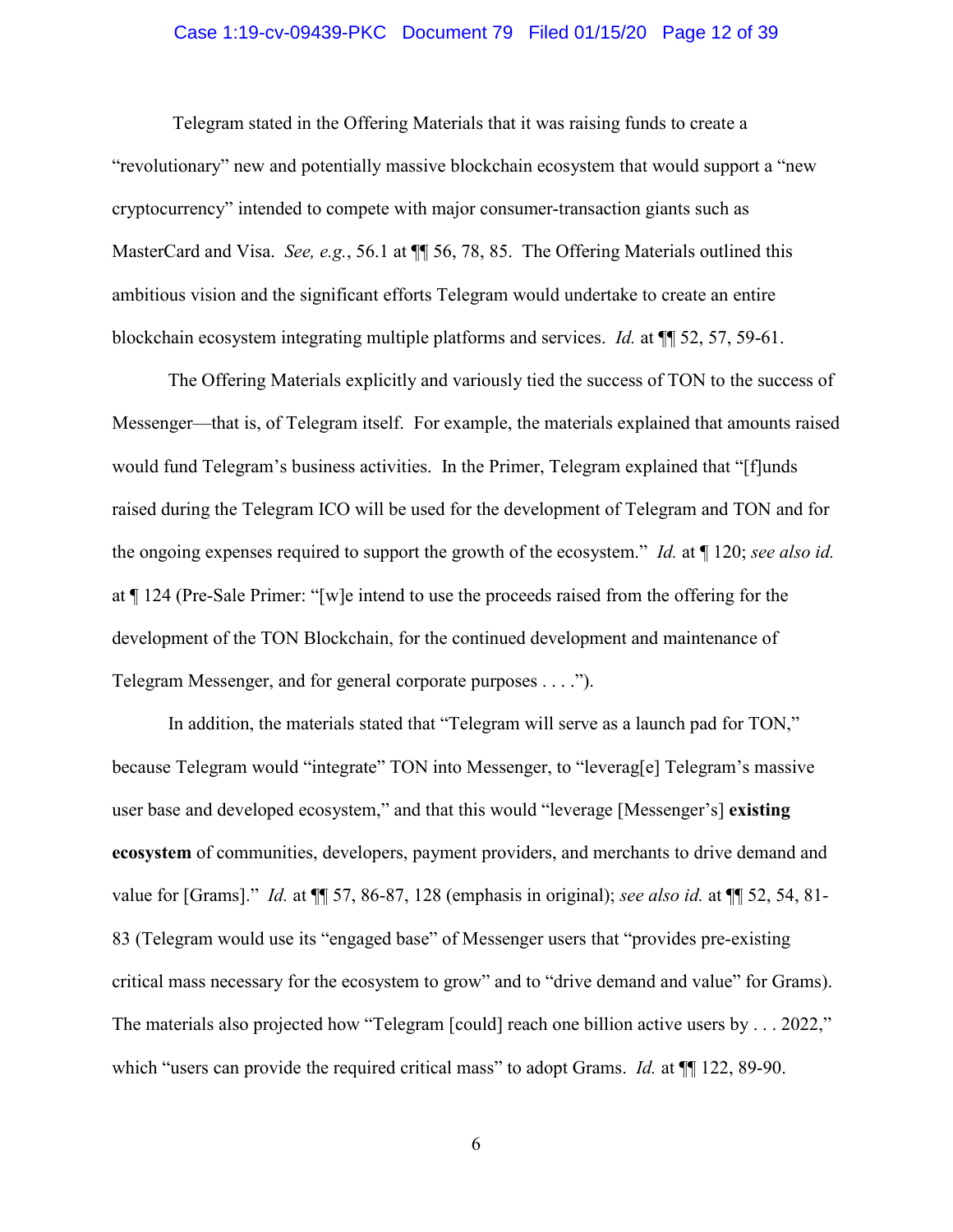#### Case 1:19-cv-09439-PKC Document 79 Filed 01/15/20 Page 12 of 39

Telegram stated in the Offering Materials that it was raising funds to create a "revolutionary" new and potentially massive blockchain ecosystem that would support a "new cryptocurrency" intended to compete with major consumer-transaction giants such as MasterCard and Visa. *See, e.g.*, 56.1 at ¶¶ 56, 78, 85. The Offering Materials outlined this ambitious vision and the significant efforts Telegram would undertake to create an entire blockchain ecosystem integrating multiple platforms and services. *Id.* at ¶¶ 52, 57, 59-61.

The Offering Materials explicitly and variously tied the success of TON to the success of Messenger—that is, of Telegram itself. For example, the materials explained that amounts raised would fund Telegram's business activities. In the Primer, Telegram explained that "[f]unds raised during the Telegram ICO will be used for the development of Telegram and TON and for the ongoing expenses required to support the growth of the ecosystem." *Id.* at ¶ 120; *see also id.* at ¶ 124 (Pre-Sale Primer: "[w]e intend to use the proceeds raised from the offering for the development of the TON Blockchain, for the continued development and maintenance of Telegram Messenger, and for general corporate purposes . . . .").

In addition, the materials stated that "Telegram will serve as a launch pad for TON," because Telegram would "integrate" TON into Messenger, to "leverag[e] Telegram's massive user base and developed ecosystem," and that this would "leverage [Messenger's] **existing ecosystem** of communities, developers, payment providers, and merchants to drive demand and value for [Grams]." *Id.* at ¶¶ 57, 86-87, 128 (emphasis in original); *see also id.* at ¶¶ 52, 54, 81- 83 (Telegram would use its "engaged base" of Messenger users that "provides pre-existing critical mass necessary for the ecosystem to grow" and to "drive demand and value" for Grams). The materials also projected how "Telegram [could] reach one billion active users by . . . 2022," which "users can provide the required critical mass" to adopt Grams. *Id.* at  $\P$ [122, 89-90.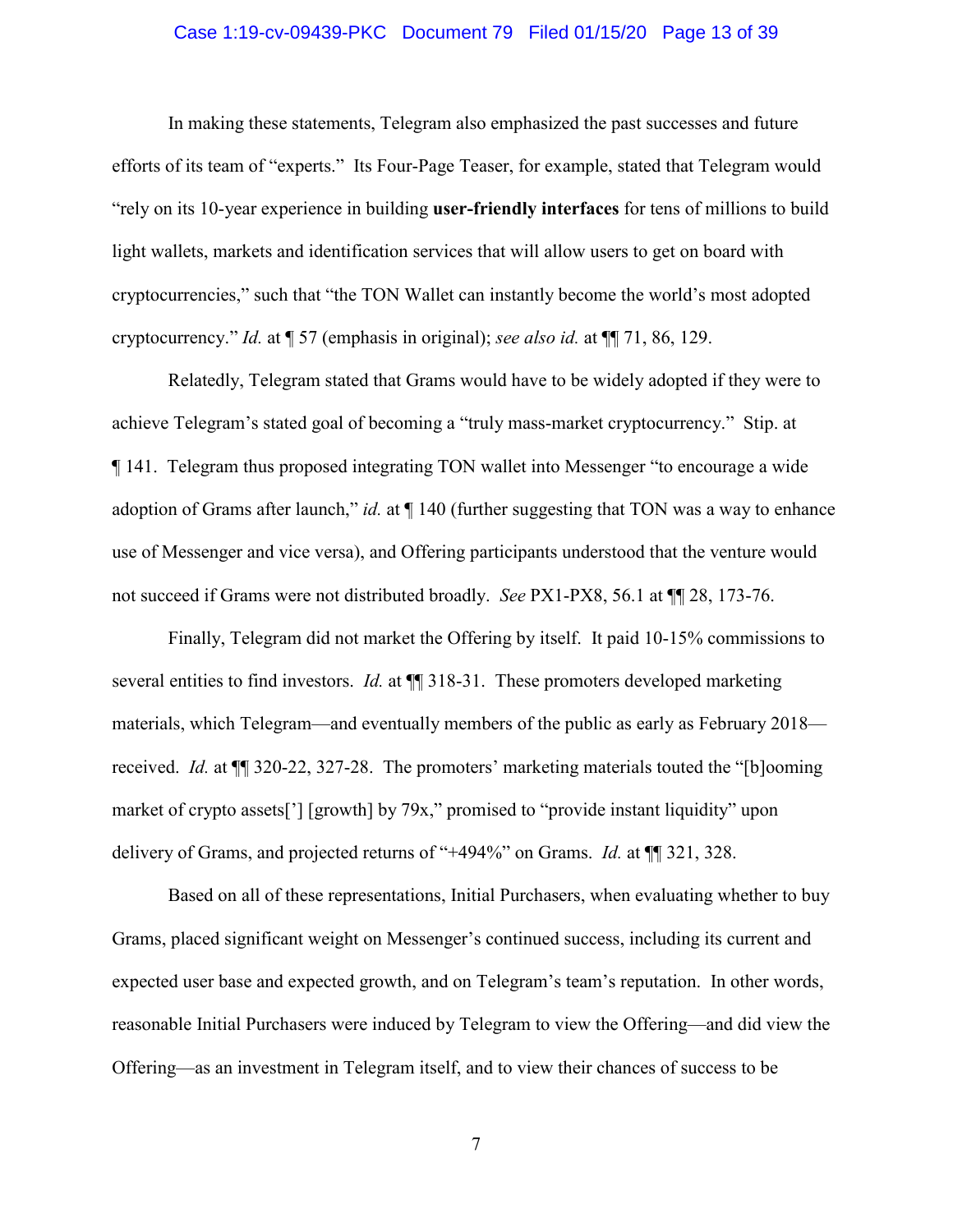#### Case 1:19-cv-09439-PKC Document 79 Filed 01/15/20 Page 13 of 39

In making these statements, Telegram also emphasized the past successes and future efforts of its team of "experts." Its Four-Page Teaser, for example, stated that Telegram would "rely on its 10-year experience in building **user-friendly interfaces** for tens of millions to build light wallets, markets and identification services that will allow users to get on board with cryptocurrencies," such that "the TON Wallet can instantly become the world's most adopted cryptocurrency." *Id.* at ¶ 57 (emphasis in original); *see also id.* at ¶¶ 71, 86, 129.

Relatedly, Telegram stated that Grams would have to be widely adopted if they were to achieve Telegram's stated goal of becoming a "truly mass-market cryptocurrency." Stip. at ¶ 141. Telegram thus proposed integrating TON wallet into Messenger "to encourage a wide adoption of Grams after launch," *id.* at  $\P$  140 (further suggesting that TON was a way to enhance use of Messenger and vice versa), and Offering participants understood that the venture would not succeed if Grams were not distributed broadly. *See* PX1-PX8, 56.1 at ¶¶ 28, 173-76.

Finally, Telegram did not market the Offering by itself. It paid 10-15% commissions to several entities to find investors. *Id.* at ¶¶ 318-31. These promoters developed marketing materials, which Telegram—and eventually members of the public as early as February 2018 received. *Id.* at ¶¶ 320-22, 327-28. The promoters' marketing materials touted the "[b]ooming market of crypto assets<sup>['</sup>] [growth] by 79x," promised to "provide instant liquidity" upon delivery of Grams, and projected returns of "+494%" on Grams. *Id.* at ¶¶ 321, 328.

Based on all of these representations, Initial Purchasers, when evaluating whether to buy Grams, placed significant weight on Messenger's continued success, including its current and expected user base and expected growth, and on Telegram's team's reputation. In other words, reasonable Initial Purchasers were induced by Telegram to view the Offering—and did view the Offering—as an investment in Telegram itself, and to view their chances of success to be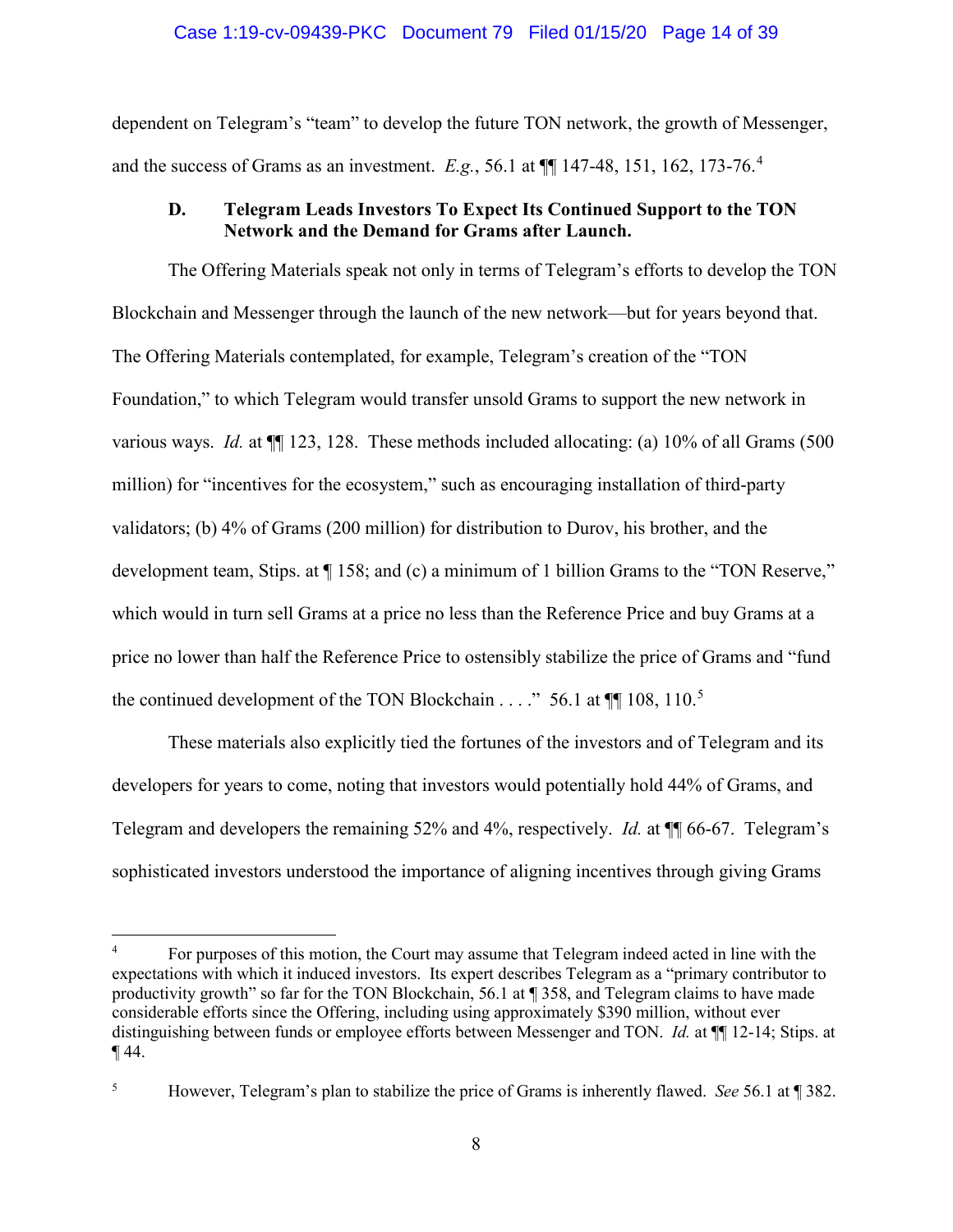### Case 1:19-cv-09439-PKC Document 79 Filed 01/15/20 Page 14 of 39

dependent on Telegram's "team" to develop the future TON network, the growth of Messenger, and the success of Grams as an investment. *E.g.*, 56.1 at  $\P$  147-48, 151, 162, 173-76.<sup>4</sup>

# **D. Telegram Leads Investors To Expect Its Continued Support to the TON Network and the Demand for Grams after Launch.**

The Offering Materials speak not only in terms of Telegram's efforts to develop the TON Blockchain and Messenger through the launch of the new network—but for years beyond that. The Offering Materials contemplated, for example, Telegram's creation of the "TON Foundation," to which Telegram would transfer unsold Grams to support the new network in various ways. *Id.* at ¶¶ 123, 128. These methods included allocating: (a) 10% of all Grams (500 million) for "incentives for the ecosystem," such as encouraging installation of third-party validators; (b) 4% of Grams (200 million) for distribution to Durov, his brother, and the development team, Stips. at  $\P$  158; and (c) a minimum of 1 billion Grams to the "TON Reserve," which would in turn sell Grams at a price no less than the Reference Price and buy Grams at a price no lower than half the Reference Price to ostensibly stabilize the price of Grams and "fund the continued development of the TON Blockchain  $\dots$ ." 56.1 at  $\P$  108, 110.<sup>5</sup>

These materials also explicitly tied the fortunes of the investors and of Telegram and its developers for years to come, noting that investors would potentially hold 44% of Grams, and Telegram and developers the remaining 52% and 4%, respectively. *Id.* at ¶¶ 66-67. Telegram's sophisticated investors understood the importance of aligning incentives through giving Grams

<sup>4</sup> For purposes of this motion, the Court may assume that Telegram indeed acted in line with the expectations with which it induced investors. Its expert describes Telegram as a "primary contributor to productivity growth" so far for the TON Blockchain, 56.1 at ¶ 358, and Telegram claims to have made considerable efforts since the Offering, including using approximately \$390 million, without ever distinguishing between funds or employee efforts between Messenger and TON. *Id.* at ¶¶ 12-14; Stips. at  $\P$  44.

<sup>5</sup> However, Telegram's plan to stabilize the price of Grams is inherently flawed. *See* 56.1 at ¶ 382.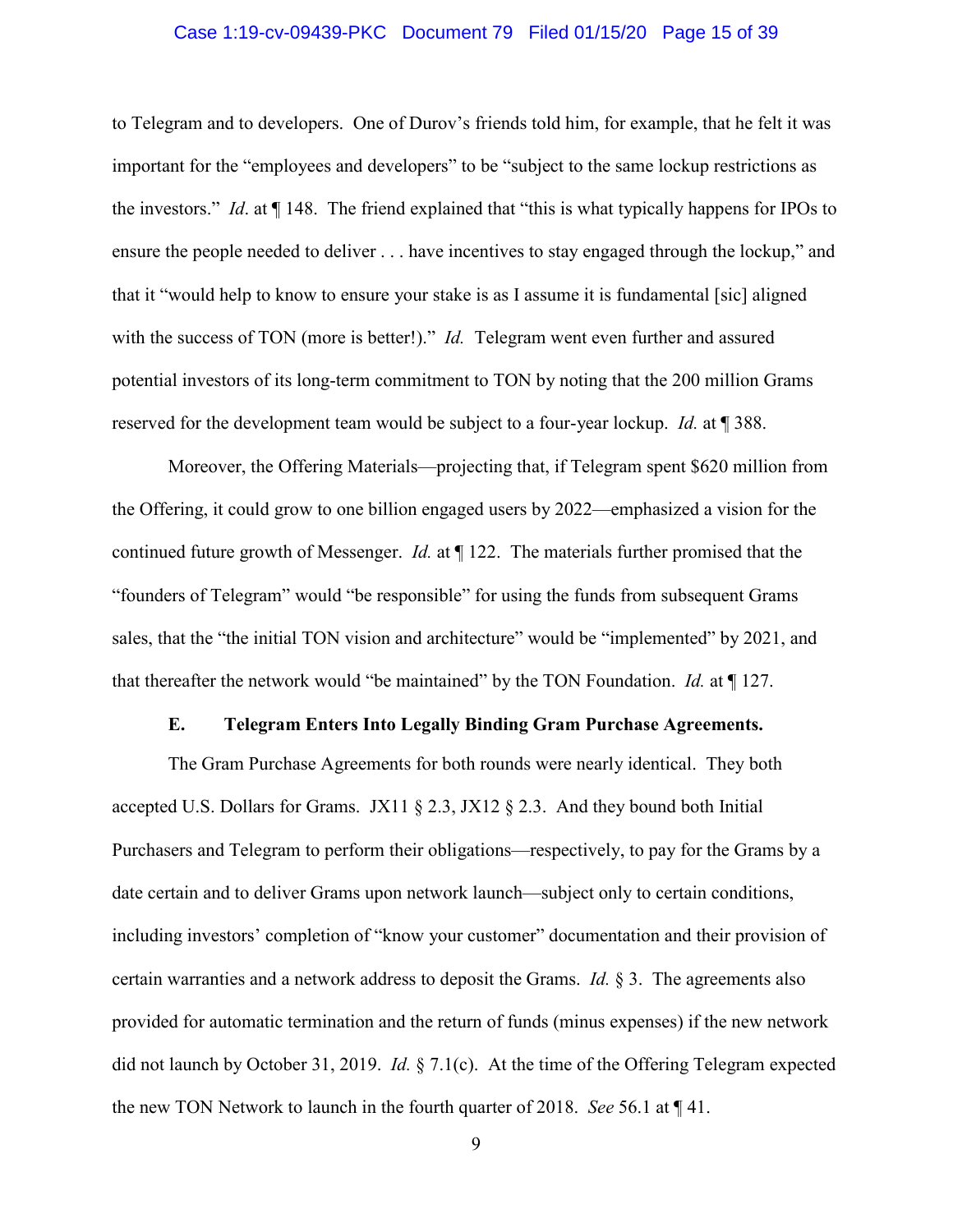#### Case 1:19-cv-09439-PKC Document 79 Filed 01/15/20 Page 15 of 39

to Telegram and to developers. One of Durov's friends told him, for example, that he felt it was important for the "employees and developers" to be "subject to the same lockup restrictions as the investors." *Id*. at ¶ 148. The friend explained that "this is what typically happens for IPOs to ensure the people needed to deliver . . . have incentives to stay engaged through the lockup," and that it "would help to know to ensure your stake is as I assume it is fundamental [sic] aligned with the success of TON (more is better!)." *Id.* Telegram went even further and assured potential investors of its long-term commitment to TON by noting that the 200 million Grams reserved for the development team would be subject to a four-year lockup. *Id.* at ¶ 388.

Moreover, the Offering Materials—projecting that, if Telegram spent \$620 million from the Offering, it could grow to one billion engaged users by 2022—emphasized a vision for the continued future growth of Messenger. *Id.* at ¶ 122. The materials further promised that the "founders of Telegram" would "be responsible" for using the funds from subsequent Grams sales, that the "the initial TON vision and architecture" would be "implemented" by 2021, and that thereafter the network would "be maintained" by the TON Foundation. *Id.* at ¶ 127.

#### **E. Telegram Enters Into Legally Binding Gram Purchase Agreements.**

The Gram Purchase Agreements for both rounds were nearly identical. They both accepted U.S. Dollars for Grams. JX11 § 2.3, JX12 § 2.3. And they bound both Initial Purchasers and Telegram to perform their obligations—respectively, to pay for the Grams by a date certain and to deliver Grams upon network launch—subject only to certain conditions, including investors' completion of "know your customer" documentation and their provision of certain warranties and a network address to deposit the Grams. *Id.* § 3. The agreements also provided for automatic termination and the return of funds (minus expenses) if the new network did not launch by October 31, 2019. *Id.* § 7.1(c). At the time of the Offering Telegram expected the new TON Network to launch in the fourth quarter of 2018. *See* 56.1 at ¶ 41.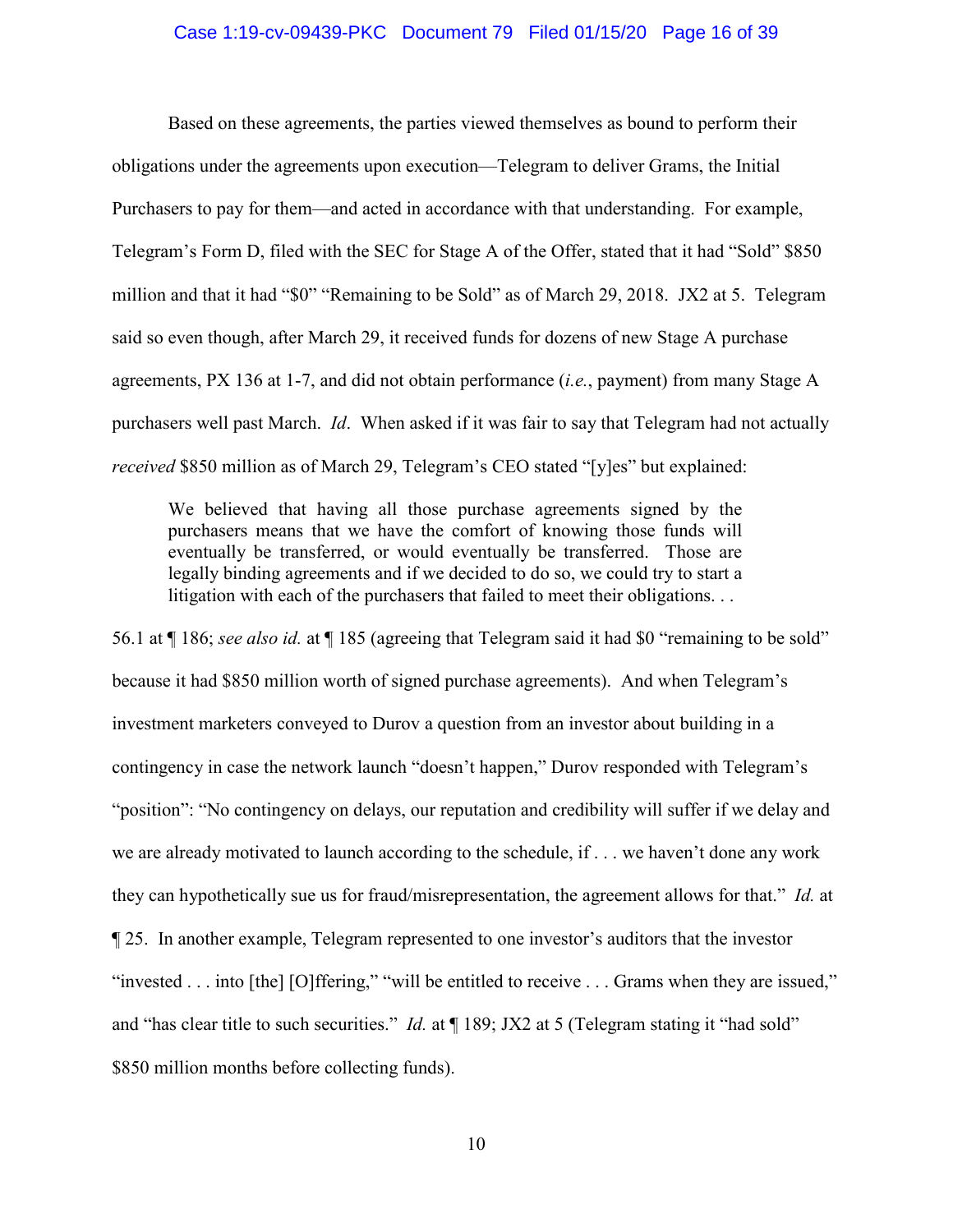#### Case 1:19-cv-09439-PKC Document 79 Filed 01/15/20 Page 16 of 39

Based on these agreements, the parties viewed themselves as bound to perform their obligations under the agreements upon execution—Telegram to deliver Grams, the Initial Purchasers to pay for them—and acted in accordance with that understanding. For example, Telegram's Form D, filed with the SEC for Stage A of the Offer, stated that it had "Sold" \$850 million and that it had "\$0" "Remaining to be Sold" as of March 29, 2018. JX2 at 5. Telegram said so even though, after March 29, it received funds for dozens of new Stage A purchase agreements, PX 136 at 1-7, and did not obtain performance (*i.e.*, payment) from many Stage A purchasers well past March. *Id*. When asked if it was fair to say that Telegram had not actually *received* \$850 million as of March 29, Telegram's CEO stated "[y]es" but explained:

We believed that having all those purchase agreements signed by the purchasers means that we have the comfort of knowing those funds will eventually be transferred, or would eventually be transferred. Those are legally binding agreements and if we decided to do so, we could try to start a litigation with each of the purchasers that failed to meet their obligations. . .

56.1 at ¶ 186; *see also id.* at ¶ 185 (agreeing that Telegram said it had \$0 "remaining to be sold" because it had \$850 million worth of signed purchase agreements). And when Telegram's investment marketers conveyed to Durov a question from an investor about building in a contingency in case the network launch "doesn't happen," Durov responded with Telegram's "position": "No contingency on delays, our reputation and credibility will suffer if we delay and we are already motivated to launch according to the schedule, if . . . we haven't done any work they can hypothetically sue us for fraud/misrepresentation, the agreement allows for that." *Id.* at ¶ 25. In another example, Telegram represented to one investor's auditors that the investor "invested . . . into [the] [O]ffering," "will be entitled to receive . . . Grams when they are issued," and "has clear title to such securities." *Id.* at  $\P$  189; JX2 at 5 (Telegram stating it "had sold" \$850 million months before collecting funds).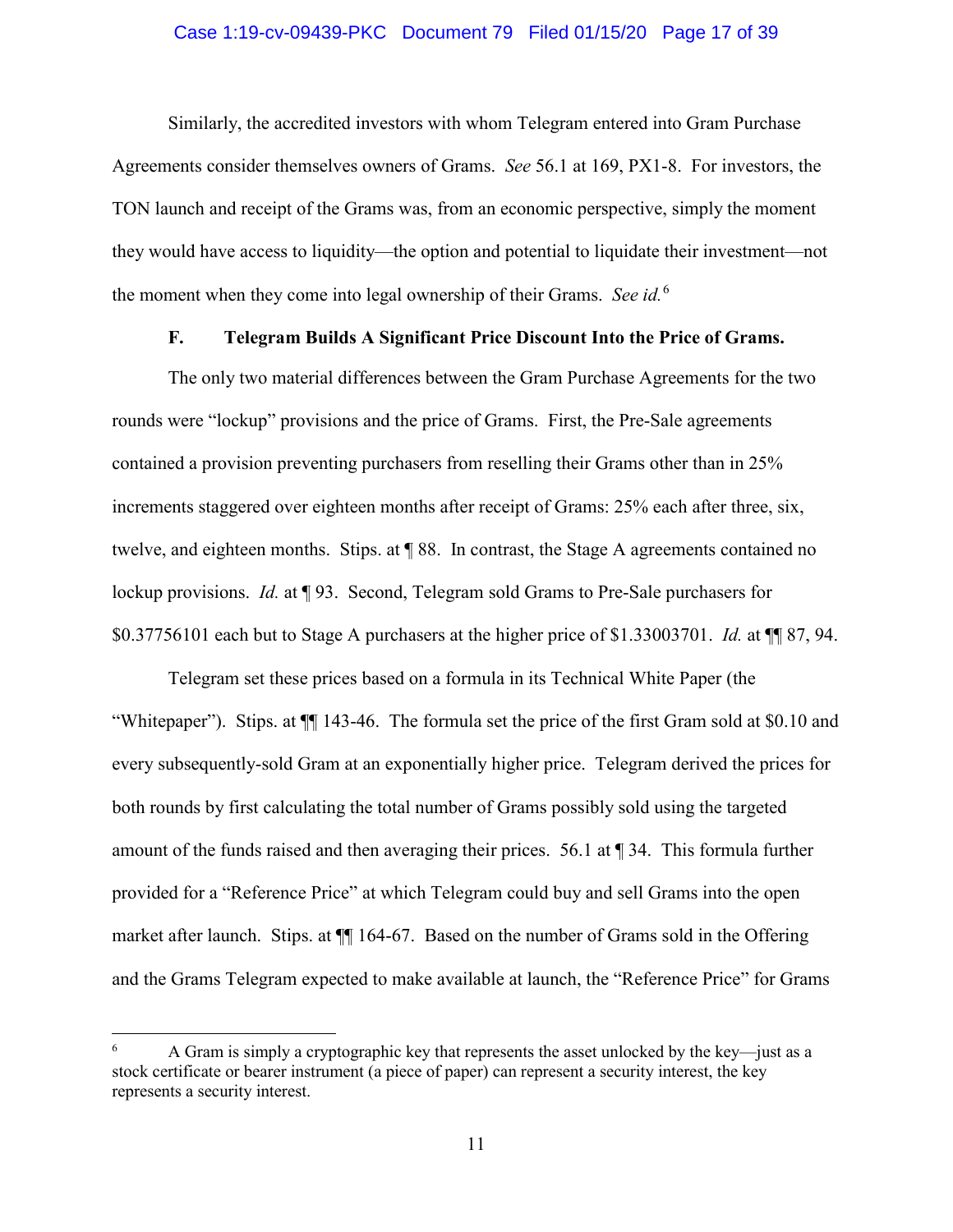#### Case 1:19-cv-09439-PKC Document 79 Filed 01/15/20 Page 17 of 39

Similarly, the accredited investors with whom Telegram entered into Gram Purchase Agreements consider themselves owners of Grams. *See* 56.1 at 169, PX1-8. For investors, the TON launch and receipt of the Grams was, from an economic perspective, simply the moment they would have access to liquidity—the option and potential to liquidate their investment—not the moment when they come into legal ownership of their Grams. *See id.*<sup>6</sup>

# **F. Telegram Builds A Significant Price Discount Into the Price of Grams.**

The only two material differences between the Gram Purchase Agreements for the two rounds were "lockup" provisions and the price of Grams. First, the Pre-Sale agreements contained a provision preventing purchasers from reselling their Grams other than in 25% increments staggered over eighteen months after receipt of Grams: 25% each after three, six, twelve, and eighteen months. Stips. at ¶ 88. In contrast, the Stage A agreements contained no lockup provisions. *Id.* at **[93.** Second, Telegram sold Grams to Pre-Sale purchasers for \$0.37756101 each but to Stage A purchasers at the higher price of \$1.33003701. *Id.* at ¶¶ 87, 94.

Telegram set these prices based on a formula in its Technical White Paper (the "Whitepaper"). Stips. at ¶¶ 143-46. The formula set the price of the first Gram sold at \$0.10 and every subsequently-sold Gram at an exponentially higher price. Telegram derived the prices for both rounds by first calculating the total number of Grams possibly sold using the targeted amount of the funds raised and then averaging their prices. 56.1 at ¶ 34. This formula further provided for a "Reference Price" at which Telegram could buy and sell Grams into the open market after launch. Stips. at  $\P$  164-67. Based on the number of Grams sold in the Offering and the Grams Telegram expected to make available at launch, the "Reference Price" for Grams

<sup>6</sup> A Gram is simply a cryptographic key that represents the asset unlocked by the key—just as a stock certificate or bearer instrument (a piece of paper) can represent a security interest, the key represents a security interest.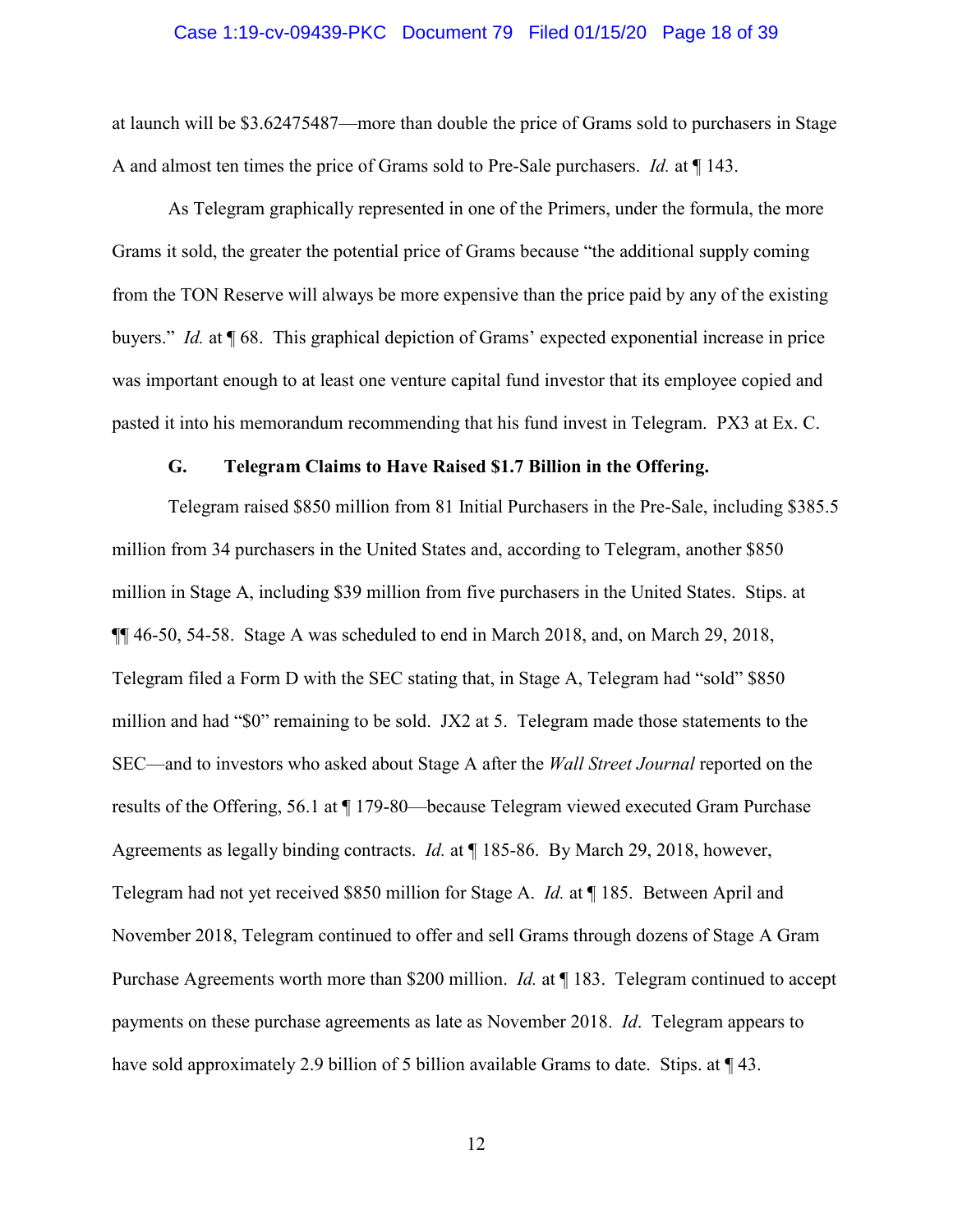#### Case 1:19-cv-09439-PKC Document 79 Filed 01/15/20 Page 18 of 39

at launch will be \$3.62475487—more than double the price of Grams sold to purchasers in Stage A and almost ten times the price of Grams sold to Pre-Sale purchasers. *Id.* at ¶ 143.

As Telegram graphically represented in one of the Primers, under the formula, the more Grams it sold, the greater the potential price of Grams because "the additional supply coming from the TON Reserve will always be more expensive than the price paid by any of the existing buyers." *Id.* at ¶ 68. This graphical depiction of Grams' expected exponential increase in price was important enough to at least one venture capital fund investor that its employee copied and pasted it into his memorandum recommending that his fund invest in Telegram. PX3 at Ex. C.

#### **G. Telegram Claims to Have Raised \$1.7 Billion in the Offering.**

Telegram raised \$850 million from 81 Initial Purchasers in the Pre-Sale, including \$385.5 million from 34 purchasers in the United States and, according to Telegram, another \$850 million in Stage A, including \$39 million from five purchasers in the United States. Stips. at ¶¶ 46-50, 54-58. Stage A was scheduled to end in March 2018, and, on March 29, 2018, Telegram filed a Form D with the SEC stating that, in Stage A, Telegram had "sold" \$850 million and had "\$0" remaining to be sold. JX2 at 5. Telegram made those statements to the SEC—and to investors who asked about Stage A after the *Wall Street Journal* reported on the results of the Offering, 56.1 at ¶ 179-80—because Telegram viewed executed Gram Purchase Agreements as legally binding contracts. *Id.* at ¶ 185-86. By March 29, 2018, however, Telegram had not yet received \$850 million for Stage A. *Id.* at ¶ 185. Between April and November 2018, Telegram continued to offer and sell Grams through dozens of Stage A Gram Purchase Agreements worth more than \$200 million. *Id.* at ¶ 183. Telegram continued to accept payments on these purchase agreements as late as November 2018. *Id*. Telegram appears to have sold approximately 2.9 billion of 5 billion available Grams to date. Stips. at  $\P$  43.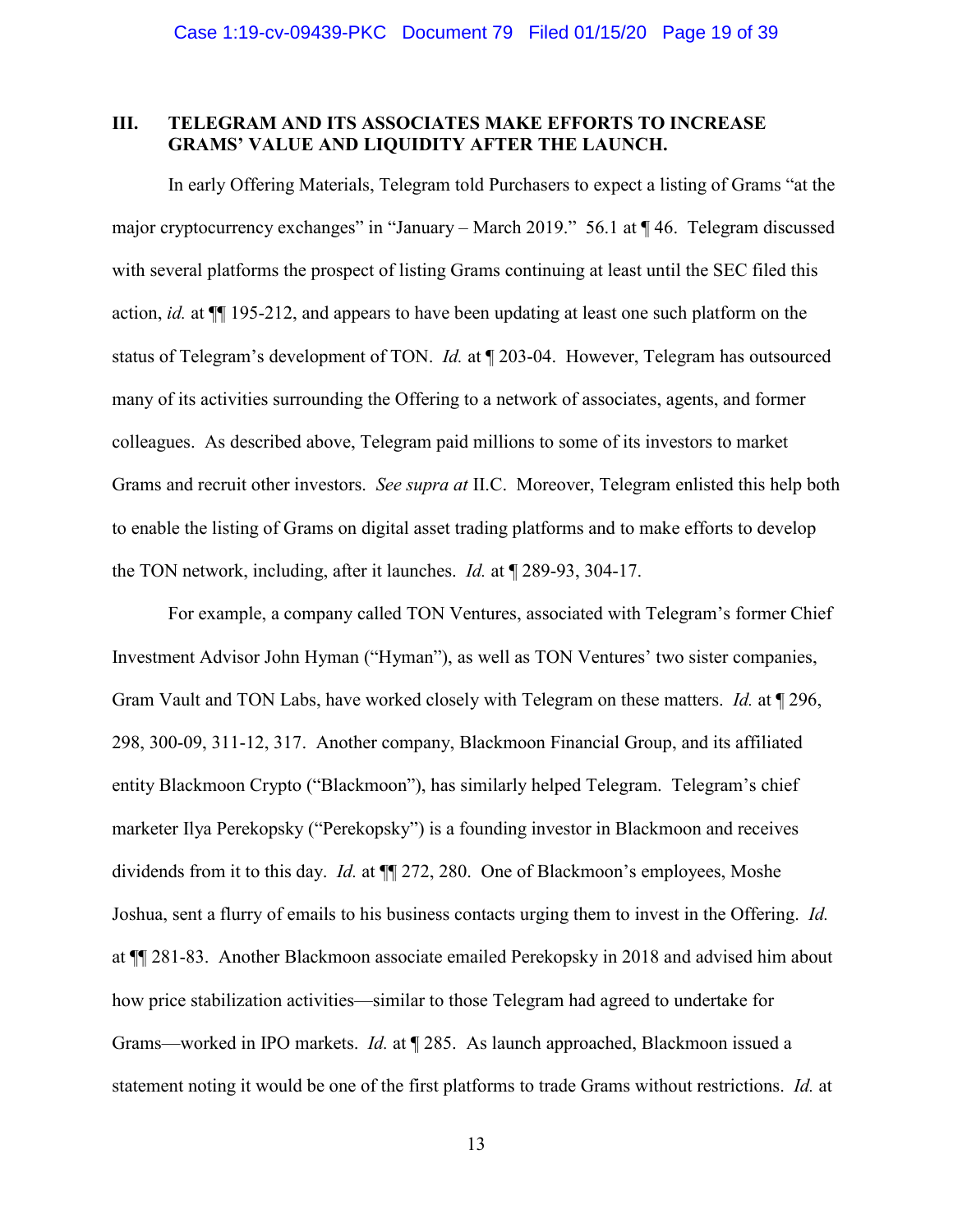## **III. TELEGRAM AND ITS ASSOCIATES MAKE EFFORTS TO INCREASE GRAMS' VALUE AND LIQUIDITY AFTER THE LAUNCH.**

In early Offering Materials, Telegram told Purchasers to expect a listing of Grams "at the major cryptocurrency exchanges" in "January – March 2019." 56.1 at ¶46. Telegram discussed with several platforms the prospect of listing Grams continuing at least until the SEC filed this action, *id.* at ¶¶ 195-212, and appears to have been updating at least one such platform on the status of Telegram's development of TON. *Id.* at ¶ 203-04. However, Telegram has outsourced many of its activities surrounding the Offering to a network of associates, agents, and former colleagues. As described above, Telegram paid millions to some of its investors to market Grams and recruit other investors. *See supra at* II.C. Moreover, Telegram enlisted this help both to enable the listing of Grams on digital asset trading platforms and to make efforts to develop the TON network, including, after it launches. *Id.* at ¶ 289-93, 304-17.

For example, a company called TON Ventures, associated with Telegram's former Chief Investment Advisor John Hyman ("Hyman"), as well as TON Ventures' two sister companies, Gram Vault and TON Labs, have worked closely with Telegram on these matters. *Id.* at ¶ 296, 298, 300-09, 311-12, 317. Another company, Blackmoon Financial Group, and its affiliated entity Blackmoon Crypto ("Blackmoon"), has similarly helped Telegram. Telegram's chief marketer Ilya Perekopsky ("Perekopsky") is a founding investor in Blackmoon and receives dividends from it to this day. *Id.* at ¶¶ 272, 280. One of Blackmoon's employees, Moshe Joshua, sent a flurry of emails to his business contacts urging them to invest in the Offering. *Id.* at ¶¶ 281-83. Another Blackmoon associate emailed Perekopsky in 2018 and advised him about how price stabilization activities—similar to those Telegram had agreed to undertake for Grams—worked in IPO markets. *Id.* at ¶ 285. As launch approached, Blackmoon issued a statement noting it would be one of the first platforms to trade Grams without restrictions. *Id.* at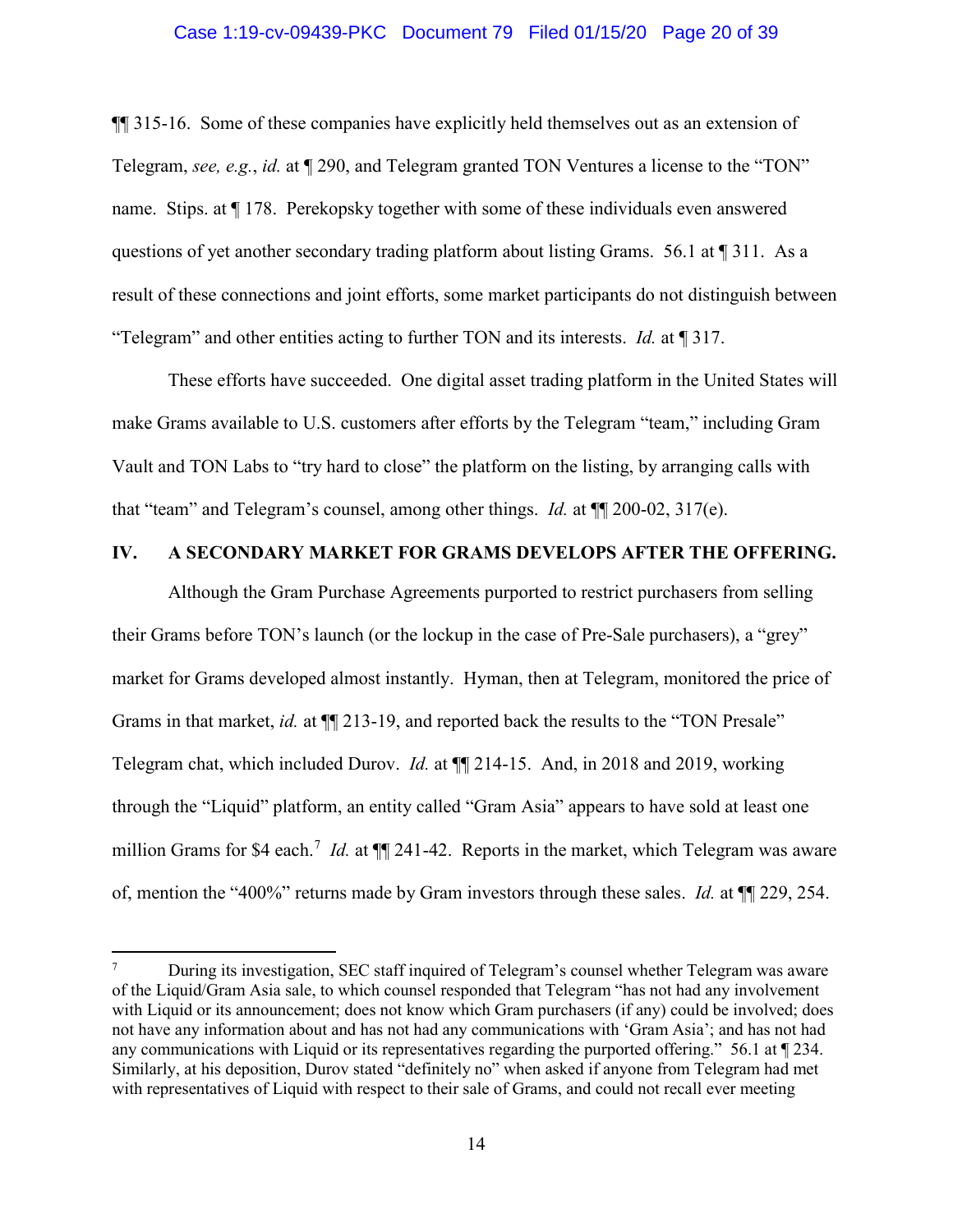#### Case 1:19-cv-09439-PKC Document 79 Filed 01/15/20 Page 20 of 39

¶¶ 315-16. Some of these companies have explicitly held themselves out as an extension of Telegram, *see, e.g.*, *id.* at ¶ 290, and Telegram granted TON Ventures a license to the "TON" name. Stips. at ¶ 178. Perekopsky together with some of these individuals even answered questions of yet another secondary trading platform about listing Grams. 56.1 at  $\P$  311. As a result of these connections and joint efforts, some market participants do not distinguish between "Telegram" and other entities acting to further TON and its interests. *Id.* at ¶ 317.

These efforts have succeeded. One digital asset trading platform in the United States will make Grams available to U.S. customers after efforts by the Telegram "team," including Gram Vault and TON Labs to "try hard to close" the platform on the listing, by arranging calls with that "team" and Telegram's counsel, among other things. *Id.* at ¶¶ 200-02, 317(e).

# **IV. A SECONDARY MARKET FOR GRAMS DEVELOPS AFTER THE OFFERING.**

Although the Gram Purchase Agreements purported to restrict purchasers from selling their Grams before TON's launch (or the lockup in the case of Pre-Sale purchasers), a "grey" market for Grams developed almost instantly. Hyman, then at Telegram, monitored the price of Grams in that market, *id.* at  $\P$ [213-19, and reported back the results to the "TON Presale" Telegram chat, which included Durov. *Id.* at ¶¶ 214-15. And, in 2018 and 2019, working through the "Liquid" platform, an entity called "Gram Asia" appears to have sold at least one million Grams for \$4 each.<sup>7</sup> *Id.* at ¶ 241-42. Reports in the market, which Telegram was aware of, mention the "400%" returns made by Gram investors through these sales. *Id.* at ¶¶ 229, 254.

<sup>7</sup> During its investigation, SEC staff inquired of Telegram's counsel whether Telegram was aware of the Liquid/Gram Asia sale, to which counsel responded that Telegram "has not had any involvement with Liquid or its announcement; does not know which Gram purchasers (if any) could be involved; does not have any information about and has not had any communications with 'Gram Asia'; and has not had any communications with Liquid or its representatives regarding the purported offering." 56.1 at ¶ 234. Similarly, at his deposition, Durov stated "definitely no" when asked if anyone from Telegram had met with representatives of Liquid with respect to their sale of Grams, and could not recall ever meeting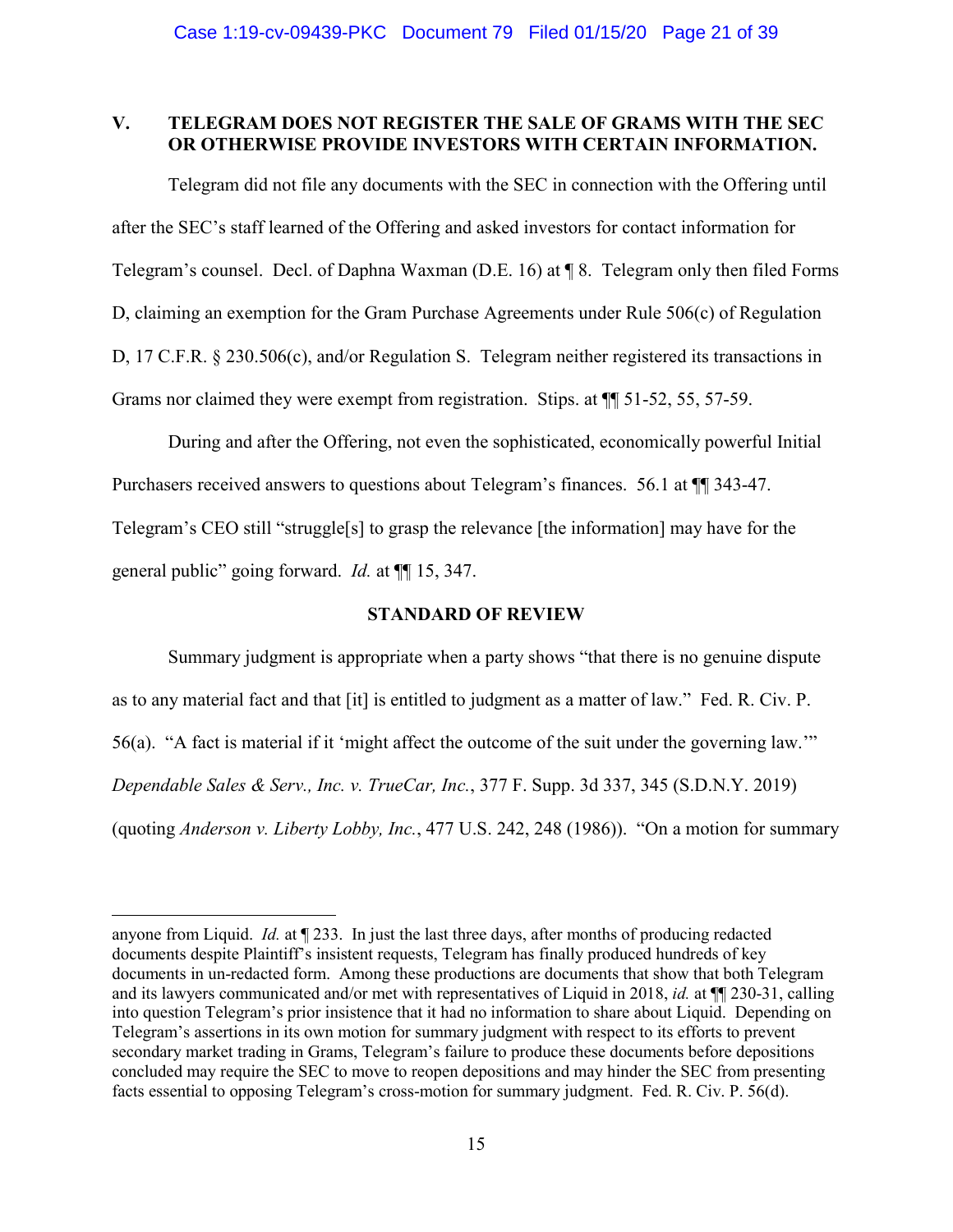# **V. TELEGRAM DOES NOT REGISTER THE SALE OF GRAMS WITH THE SEC OR OTHERWISE PROVIDE INVESTORS WITH CERTAIN INFORMATION.**

Telegram did not file any documents with the SEC in connection with the Offering until after the SEC's staff learned of the Offering and asked investors for contact information for Telegram's counsel. Decl. of Daphna Waxman (D.E. 16) at ¶ 8. Telegram only then filed Forms D, claiming an exemption for the Gram Purchase Agreements under Rule 506(c) of Regulation D, 17 C.F.R. § 230.506(c), and/or Regulation S. Telegram neither registered its transactions in Grams nor claimed they were exempt from registration. Stips. at  $\P$  51-52, 55, 57-59.

During and after the Offering, not even the sophisticated, economically powerful Initial Purchasers received answers to questions about Telegram's finances. 56.1 at ¶¶ 343-47. Telegram's CEO still "struggle[s] to grasp the relevance [the information] may have for the general public" going forward. *Id.* at ¶¶ 15, 347.

# **STANDARD OF REVIEW**

Summary judgment is appropriate when a party shows "that there is no genuine dispute as to any material fact and that [it] is entitled to judgment as a matter of law." Fed. R. Civ. P. 56(a). "A fact is material if it 'might affect the outcome of the suit under the governing law.'" *Dependable Sales & Serv., Inc. v. TrueCar, Inc.*, 377 F. Supp. 3d 337, 345 (S.D.N.Y. 2019) (quoting *Anderson v. Liberty Lobby, Inc.*, 477 U.S. 242, 248 (1986)). "On a motion for summary

anyone from Liquid. *Id.* at ¶ 233. In just the last three days, after months of producing redacted documents despite Plaintiff's insistent requests, Telegram has finally produced hundreds of key documents in un-redacted form. Among these productions are documents that show that both Telegram and its lawyers communicated and/or met with representatives of Liquid in 2018, *id.* at ¶¶ 230-31, calling into question Telegram's prior insistence that it had no information to share about Liquid. Depending on Telegram's assertions in its own motion for summary judgment with respect to its efforts to prevent secondary market trading in Grams, Telegram's failure to produce these documents before depositions concluded may require the SEC to move to reopen depositions and may hinder the SEC from presenting facts essential to opposing Telegram's cross-motion for summary judgment. Fed. R. Civ. P. 56(d).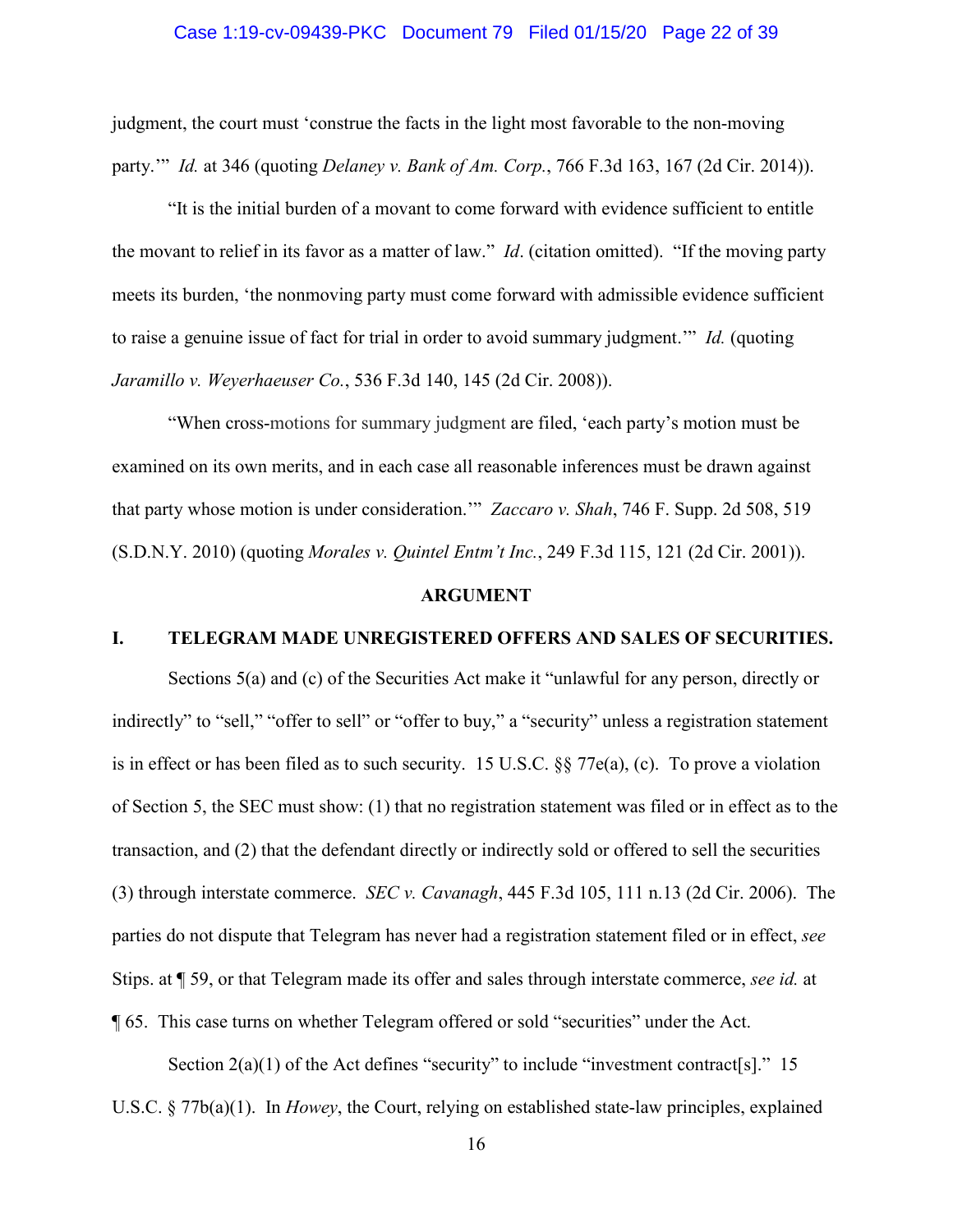# Case 1:19-cv-09439-PKC Document 79 Filed 01/15/20 Page 22 of 39

judgment, the court must 'construe the facts in the light most favorable to the non-moving party.'" *Id.* at 346 (quoting *Delaney v. Bank of Am. Corp.*, 766 F.3d 163, 167 (2d Cir. 2014)).

"It is the initial burden of a movant to come forward with evidence sufficient to entitle the movant to relief in its favor as a matter of law." *Id*. (citation omitted). "If the moving party meets its burden, 'the nonmoving party must come forward with admissible evidence sufficient to raise a genuine issue of fact for trial in order to avoid summary judgment.'" *Id.* (quoting *Jaramillo v. Weyerhaeuser Co.*, 536 F.3d 140, 145 (2d Cir. 2008)).

"When cross-motions for summary judgment are filed, 'each party's motion must be examined on its own merits, and in each case all reasonable inferences must be drawn against that party whose motion is under consideration.'" *Zaccaro v. Shah*, 746 F. Supp. 2d 508, 519 (S.D.N.Y. 2010) (quoting *Morales v. Quintel Entm't Inc.*, 249 F.3d 115, 121 (2d Cir. 2001)).

#### **ARGUMENT**

#### **I. TELEGRAM MADE UNREGISTERED OFFERS AND SALES OF SECURITIES.**

Sections 5(a) and (c) of the Securities Act make it "unlawful for any person, directly or indirectly" to "sell," "offer to sell" or "offer to buy," a "security" unless a registration statement is in effect or has been filed as to such security. 15 U.S.C. §§ 77e(a), (c). To prove a violation of Section 5, the SEC must show: (1) that no registration statement was filed or in effect as to the transaction, and (2) that the defendant directly or indirectly sold or offered to sell the securities (3) through interstate commerce. *SEC v. Cavanagh*, 445 F.3d 105, 111 n.13 (2d Cir. 2006). The parties do not dispute that Telegram has never had a registration statement filed or in effect, *see*  Stips. at ¶ 59, or that Telegram made its offer and sales through interstate commerce, *see id.* at ¶ 65. This case turns on whether Telegram offered or sold "securities" under the Act.

Section  $2(a)(1)$  of the Act defines "security" to include "investment contract[s]." 15 U.S.C. § 77b(a)(1). In *Howey*, the Court, relying on established state-law principles, explained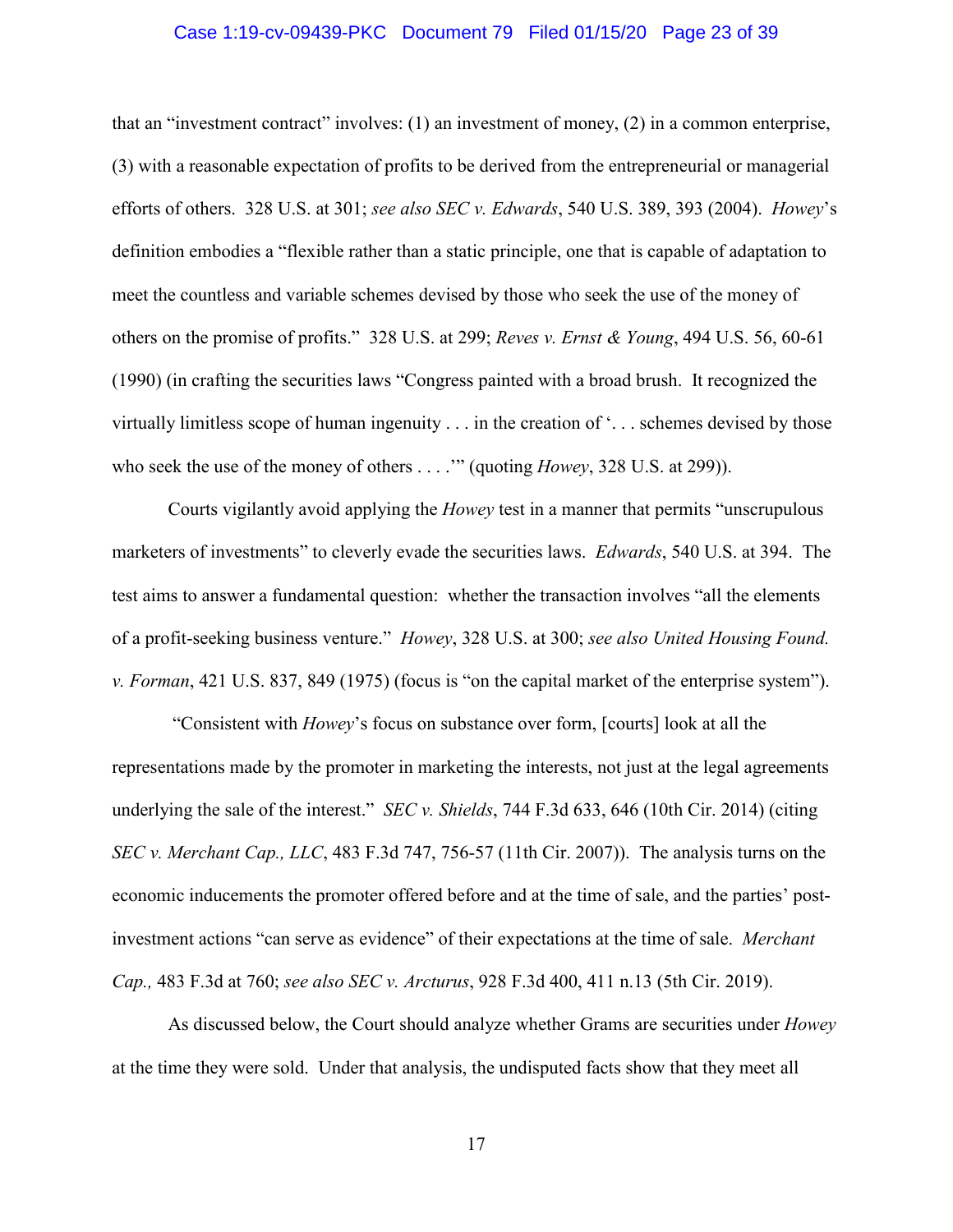#### Case 1:19-cv-09439-PKC Document 79 Filed 01/15/20 Page 23 of 39

that an "investment contract" involves: (1) an investment of money, (2) in a common enterprise, (3) with a reasonable expectation of profits to be derived from the entrepreneurial or managerial efforts of others. 328 U.S. at 301; *see also SEC v. Edwards*, 540 U.S. 389, 393 (2004). *Howey*'s definition embodies a "flexible rather than a static principle, one that is capable of adaptation to meet the countless and variable schemes devised by those who seek the use of the money of others on the promise of profits." 328 U.S. at 299; *Reves v. Ernst & Young*, 494 U.S. 56, 60-61 (1990) (in crafting the securities laws "Congress painted with a broad brush. It recognized the virtually limitless scope of human ingenuity . . . in the creation of '. . . schemes devised by those who seek the use of the money of others . . . .'" (quoting *Howey*, 328 U.S. at 299)).

Courts vigilantly avoid applying the *Howey* test in a manner that permits "unscrupulous marketers of investments" to cleverly evade the securities laws. *Edwards*, 540 U.S. at 394. The test aims to answer a fundamental question: whether the transaction involves "all the elements of a profit-seeking business venture." *Howey*, 328 U.S. at 300; *see also United Housing Found. v. Forman*, 421 U.S. 837, 849 (1975) (focus is "on the capital market of the enterprise system").

"Consistent with *Howey*'s focus on substance over form, [courts] look at all the representations made by the promoter in marketing the interests, not just at the legal agreements underlying the sale of the interest." *SEC v. Shields*, 744 F.3d 633, 646 (10th Cir. 2014) (citing *SEC v. Merchant Cap., LLC*, 483 F.3d 747, 756-57 (11th Cir. 2007)). The analysis turns on the economic inducements the promoter offered before and at the time of sale, and the parties' postinvestment actions "can serve as evidence" of their expectations at the time of sale. *Merchant Cap.,* 483 F.3d at 760; *see also SEC v. Arcturus*, 928 F.3d 400, 411 n.13 (5th Cir. 2019).

 As discussed below, the Court should analyze whether Grams are securities under *Howey* at the time they were sold. Under that analysis, the undisputed facts show that they meet all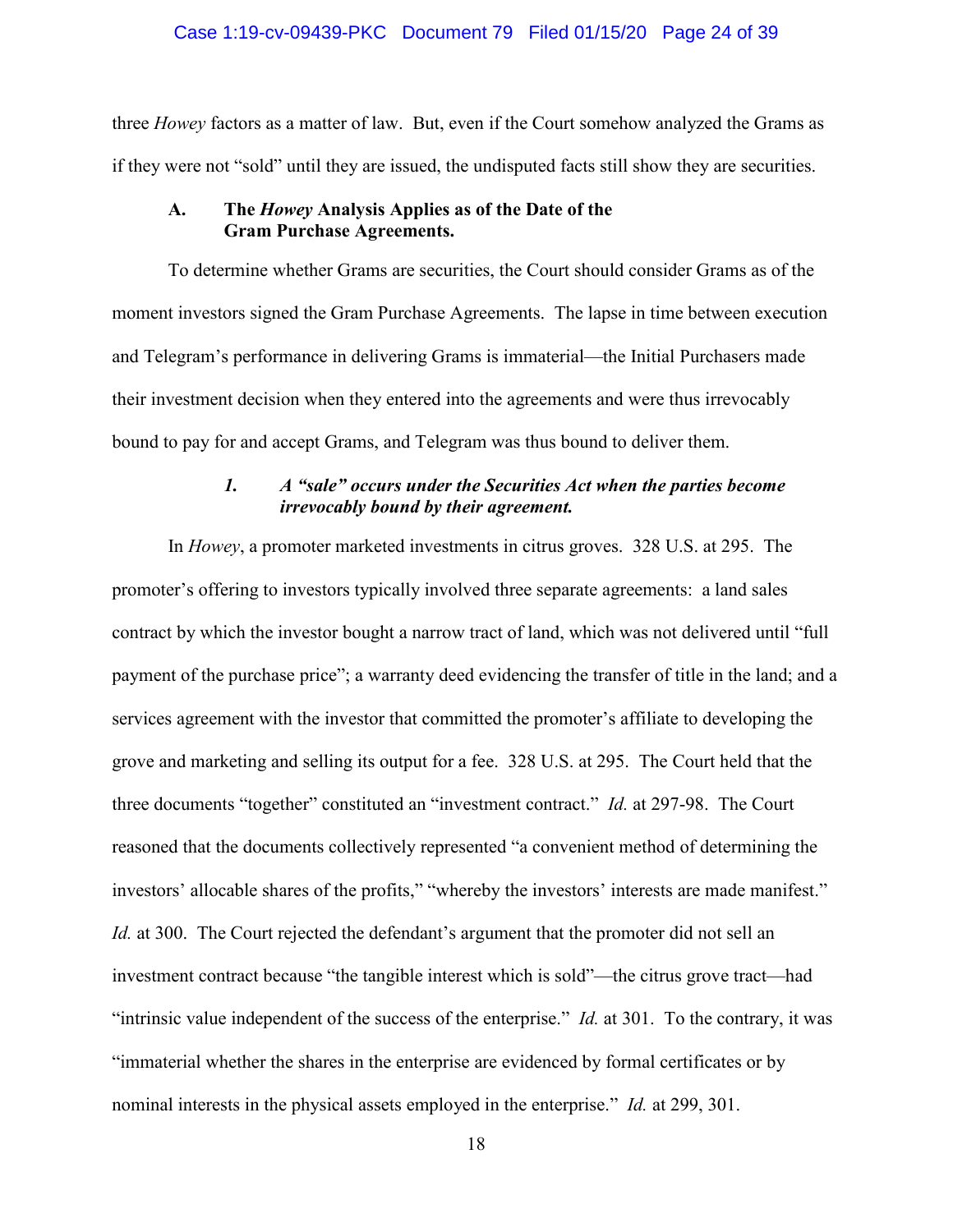#### Case 1:19-cv-09439-PKC Document 79 Filed 01/15/20 Page 24 of 39

three *Howey* factors as a matter of law. But, even if the Court somehow analyzed the Grams as if they were not "sold" until they are issued, the undisputed facts still show they are securities.

## **A. The** *Howey* **Analysis Applies as of the Date of the Gram Purchase Agreements.**

To determine whether Grams are securities, the Court should consider Grams as of the moment investors signed the Gram Purchase Agreements. The lapse in time between execution and Telegram's performance in delivering Grams is immaterial—the Initial Purchasers made their investment decision when they entered into the agreements and were thus irrevocably bound to pay for and accept Grams, and Telegram was thus bound to deliver them.

# *1. A "sale" occurs under the Securities Act when the parties become irrevocably bound by their agreement.*

In *Howey*, a promoter marketed investments in citrus groves. 328 U.S. at 295. The promoter's offering to investors typically involved three separate agreements: a land sales contract by which the investor bought a narrow tract of land, which was not delivered until "full payment of the purchase price"; a warranty deed evidencing the transfer of title in the land; and a services agreement with the investor that committed the promoter's affiliate to developing the grove and marketing and selling its output for a fee. 328 U.S. at 295. The Court held that the three documents "together" constituted an "investment contract." *Id.* at 297-98. The Court reasoned that the documents collectively represented "a convenient method of determining the investors' allocable shares of the profits," "whereby the investors' interests are made manifest." *Id.* at 300. The Court rejected the defendant's argument that the promoter did not sell an investment contract because "the tangible interest which is sold"—the citrus grove tract—had "intrinsic value independent of the success of the enterprise." *Id.* at 301. To the contrary, it was "immaterial whether the shares in the enterprise are evidenced by formal certificates or by nominal interests in the physical assets employed in the enterprise." *Id.* at 299, 301.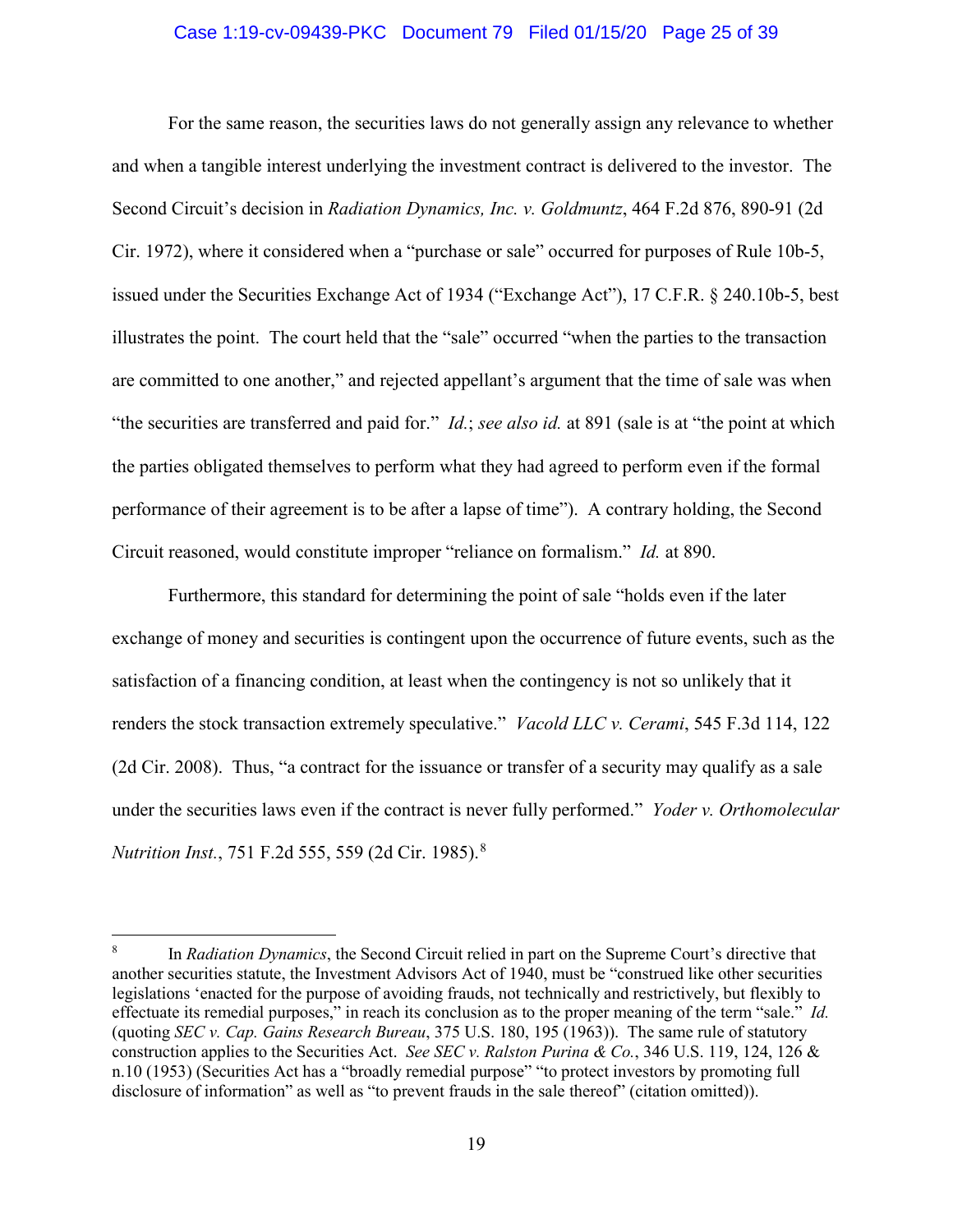#### Case 1:19-cv-09439-PKC Document 79 Filed 01/15/20 Page 25 of 39

For the same reason, the securities laws do not generally assign any relevance to whether and when a tangible interest underlying the investment contract is delivered to the investor. The Second Circuit's decision in *Radiation Dynamics, Inc. v. Goldmuntz*, 464 F.2d 876, 890-91 (2d Cir. 1972), where it considered when a "purchase or sale" occurred for purposes of Rule 10b-5, issued under the Securities Exchange Act of 1934 ("Exchange Act"), 17 C.F.R. § 240.10b-5, best illustrates the point. The court held that the "sale" occurred "when the parties to the transaction are committed to one another," and rejected appellant's argument that the time of sale was when "the securities are transferred and paid for." *Id.*; *see also id.* at 891 (sale is at "the point at which the parties obligated themselves to perform what they had agreed to perform even if the formal performance of their agreement is to be after a lapse of time"). A contrary holding, the Second Circuit reasoned, would constitute improper "reliance on formalism." *Id.* at 890.

Furthermore, this standard for determining the point of sale "holds even if the later exchange of money and securities is contingent upon the occurrence of future events, such as the satisfaction of a financing condition, at least when the contingency is not so unlikely that it renders the stock transaction extremely speculative." *Vacold LLC v. Cerami*, 545 F.3d 114, 122 (2d Cir. 2008). Thus, "a contract for the issuance or transfer of a security may qualify as a sale under the securities laws even if the contract is never fully performed." *Yoder v. Orthomolecular Nutrition Inst.*, 751 F.2d 555, 559 (2d Cir. 1985).<sup>8</sup>

<sup>8</sup> In *Radiation Dynamics*, the Second Circuit relied in part on the Supreme Court's directive that another securities statute, the Investment Advisors Act of 1940, must be "construed like other securities legislations 'enacted for the purpose of avoiding frauds, not technically and restrictively, but flexibly to effectuate its remedial purposes," in reach its conclusion as to the proper meaning of the term "sale." *Id.* (quoting *SEC v. Cap. Gains Research Bureau*, 375 U.S. 180, 195 (1963)). The same rule of statutory construction applies to the Securities Act. *See SEC v. Ralston Purina & Co.*, 346 U.S. 119, 124, 126 & n.10 (1953) (Securities Act has a "broadly remedial purpose" "to protect investors by promoting full disclosure of information" as well as "to prevent frauds in the sale thereof" (citation omitted)).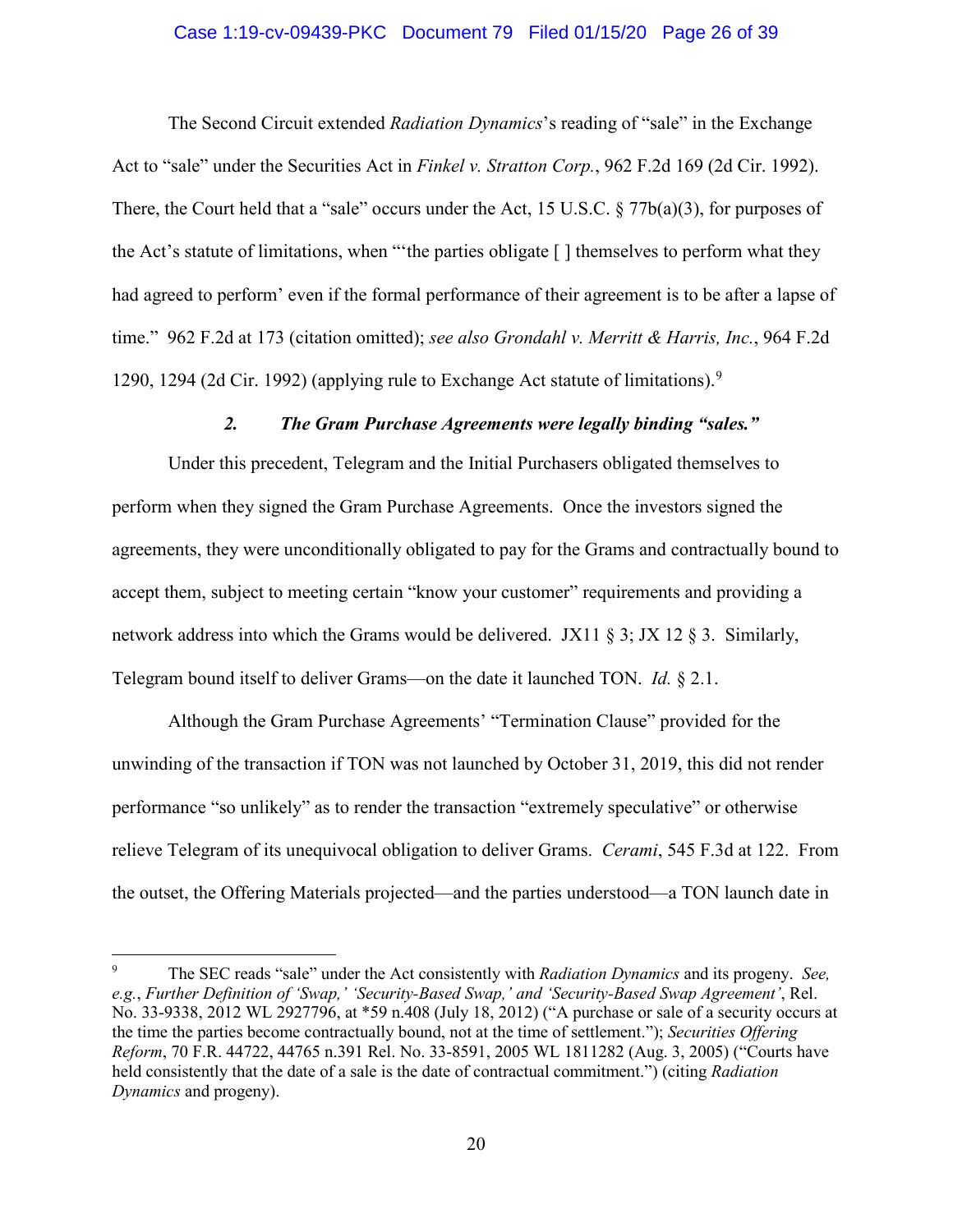#### Case 1:19-cv-09439-PKC Document 79 Filed 01/15/20 Page 26 of 39

The Second Circuit extended *Radiation Dynamics*'s reading of "sale" in the Exchange Act to "sale" under the Securities Act in *Finkel v. Stratton Corp.*, 962 F.2d 169 (2d Cir. 1992). There, the Court held that a "sale" occurs under the Act, 15 U.S.C. § 77b(a)(3), for purposes of the Act's statute of limitations, when "'the parties obligate [ ] themselves to perform what they had agreed to perform' even if the formal performance of their agreement is to be after a lapse of time." 962 F.2d at 173 (citation omitted); *see also Grondahl v. Merritt & Harris, Inc.*, 964 F.2d 1290, 1294 (2d Cir. 1992) (applying rule to Exchange Act statute of limitations).<sup>9</sup>

#### *2. The Gram Purchase Agreements were legally binding "sales."*

Under this precedent, Telegram and the Initial Purchasers obligated themselves to perform when they signed the Gram Purchase Agreements. Once the investors signed the agreements, they were unconditionally obligated to pay for the Grams and contractually bound to accept them, subject to meeting certain "know your customer" requirements and providing a network address into which the Grams would be delivered. JX11  $\S$  3; JX 12  $\S$  3. Similarly, Telegram bound itself to deliver Grams—on the date it launched TON. *Id.* § 2.1.

Although the Gram Purchase Agreements' "Termination Clause" provided for the unwinding of the transaction if TON was not launched by October 31, 2019, this did not render performance "so unlikely" as to render the transaction "extremely speculative" or otherwise relieve Telegram of its unequivocal obligation to deliver Grams. *Cerami*, 545 F.3d at 122. From the outset, the Offering Materials projected—and the parties understood—a TON launch date in

<sup>9</sup> The SEC reads "sale" under the Act consistently with *Radiation Dynamics* and its progeny. *See, e.g.*, *Further Definition of 'Swap,' 'Security-Based Swap,' and 'Security-Based Swap Agreement'*, Rel. No. 33-9338, 2012 WL 2927796, at \*59 n.408 (July 18, 2012) ("A purchase or sale of a security occurs at the time the parties become contractually bound, not at the time of settlement."); *Securities Offering Reform*, 70 F.R. 44722, 44765 n.391 Rel. No. 33-8591, 2005 WL 1811282 (Aug. 3, 2005) ("Courts have held consistently that the date of a sale is the date of contractual commitment.") (citing *Radiation Dynamics* and progeny).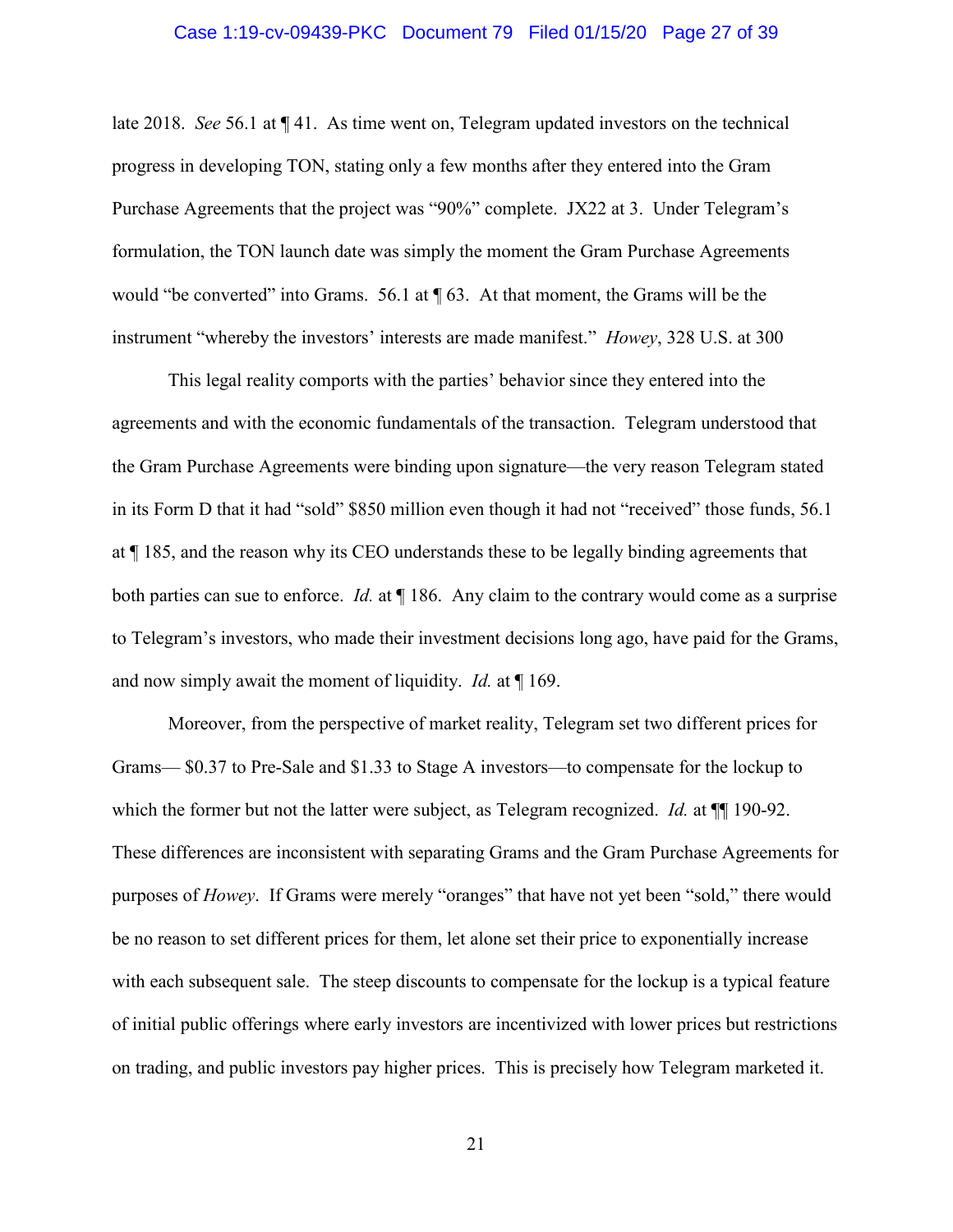#### Case 1:19-cv-09439-PKC Document 79 Filed 01/15/20 Page 27 of 39

late 2018. *See* 56.1 at ¶ 41. As time went on, Telegram updated investors on the technical progress in developing TON, stating only a few months after they entered into the Gram Purchase Agreements that the project was "90%" complete. JX22 at 3. Under Telegram's formulation, the TON launch date was simply the moment the Gram Purchase Agreements would "be converted" into Grams. 56.1 at  $\P$  63. At that moment, the Grams will be the instrument "whereby the investors' interests are made manifest." *Howey*, 328 U.S. at 300

This legal reality comports with the parties' behavior since they entered into the agreements and with the economic fundamentals of the transaction. Telegram understood that the Gram Purchase Agreements were binding upon signature—the very reason Telegram stated in its Form D that it had "sold" \$850 million even though it had not "received" those funds, 56.1 at ¶ 185, and the reason why its CEO understands these to be legally binding agreements that both parties can sue to enforce. *Id.* at ¶ 186. Any claim to the contrary would come as a surprise to Telegram's investors, who made their investment decisions long ago, have paid for the Grams, and now simply await the moment of liquidity. *Id.* at ¶ 169.

Moreover, from the perspective of market reality, Telegram set two different prices for Grams— \$0.37 to Pre-Sale and \$1.33 to Stage A investors—to compensate for the lockup to which the former but not the latter were subject, as Telegram recognized. *Id.* at  $\P$  190-92. These differences are inconsistent with separating Grams and the Gram Purchase Agreements for purposes of *Howey*. If Grams were merely "oranges" that have not yet been "sold," there would be no reason to set different prices for them, let alone set their price to exponentially increase with each subsequent sale. The steep discounts to compensate for the lockup is a typical feature of initial public offerings where early investors are incentivized with lower prices but restrictions on trading, and public investors pay higher prices. This is precisely how Telegram marketed it.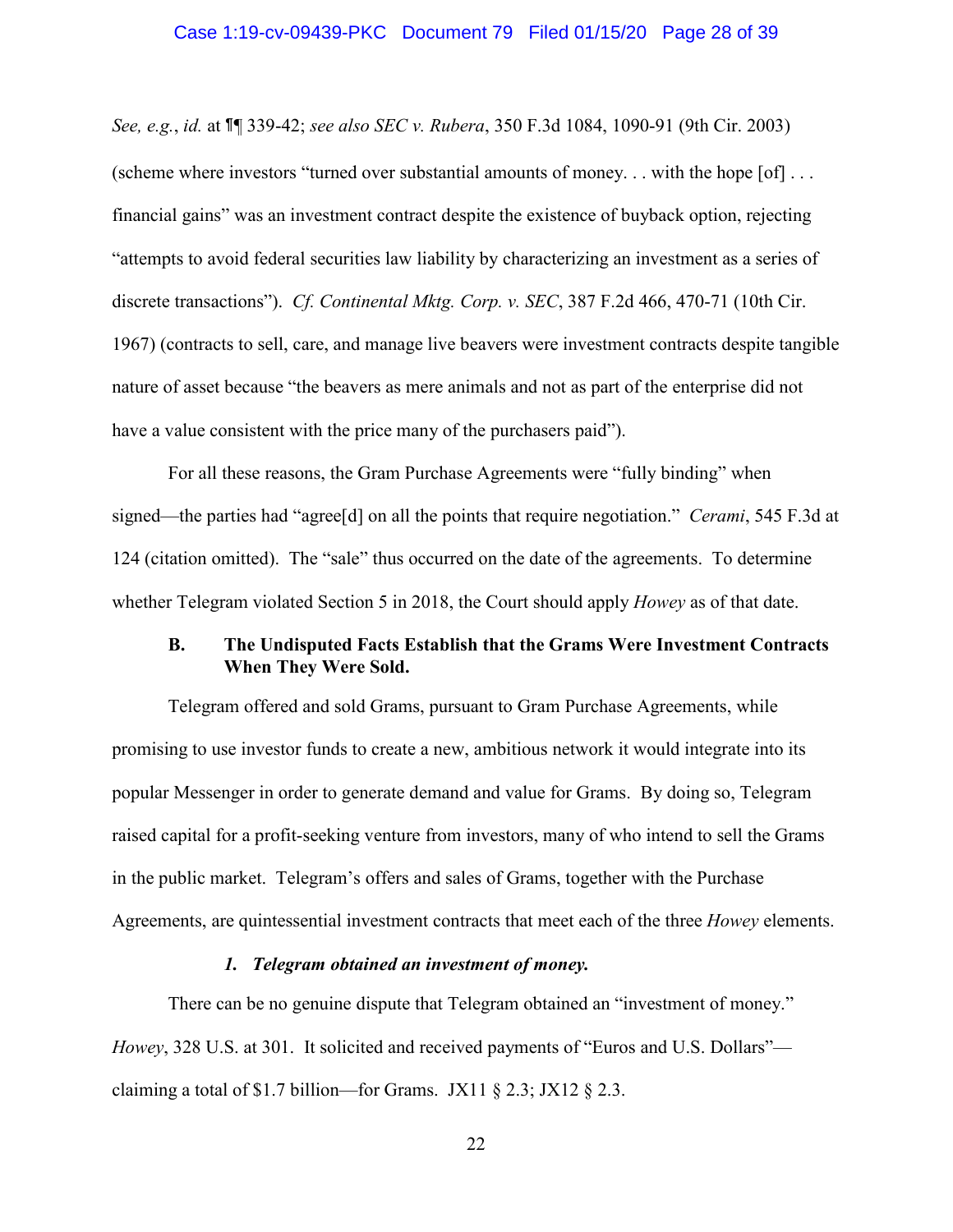#### Case 1:19-cv-09439-PKC Document 79 Filed 01/15/20 Page 28 of 39

*See, e.g.*, *id.* at ¶¶ 339-42; *see also SEC v. Rubera*, 350 F.3d 1084, 1090-91 (9th Cir. 2003) (scheme where investors "turned over substantial amounts of money... with the hope  $[of] \ldots$ financial gains" was an investment contract despite the existence of buyback option, rejecting "attempts to avoid federal securities law liability by characterizing an investment as a series of discrete transactions"). *Cf. Continental Mktg. Corp. v. SEC*, 387 F.2d 466, 470-71 (10th Cir. 1967) (contracts to sell, care, and manage live beavers were investment contracts despite tangible nature of asset because "the beavers as mere animals and not as part of the enterprise did not have a value consistent with the price many of the purchasers paid").

For all these reasons, the Gram Purchase Agreements were "fully binding" when signed—the parties had "agree[d] on all the points that require negotiation." *Cerami*, 545 F.3d at 124 (citation omitted). The "sale" thus occurred on the date of the agreements. To determine whether Telegram violated Section 5 in 2018, the Court should apply *Howey* as of that date.

## **B. The Undisputed Facts Establish that the Grams Were Investment Contracts When They Were Sold.**

Telegram offered and sold Grams, pursuant to Gram Purchase Agreements, while promising to use investor funds to create a new, ambitious network it would integrate into its popular Messenger in order to generate demand and value for Grams. By doing so, Telegram raised capital for a profit-seeking venture from investors, many of who intend to sell the Grams in the public market. Telegram's offers and sales of Grams, together with the Purchase Agreements, are quintessential investment contracts that meet each of the three *Howey* elements.

#### *1. Telegram obtained an investment of money.*

There can be no genuine dispute that Telegram obtained an "investment of money." *Howey*, 328 U.S. at 301. It solicited and received payments of "Euros and U.S. Dollars" claiming a total of \$1.7 billion—for Grams. JX11 § 2.3; JX12 § 2.3.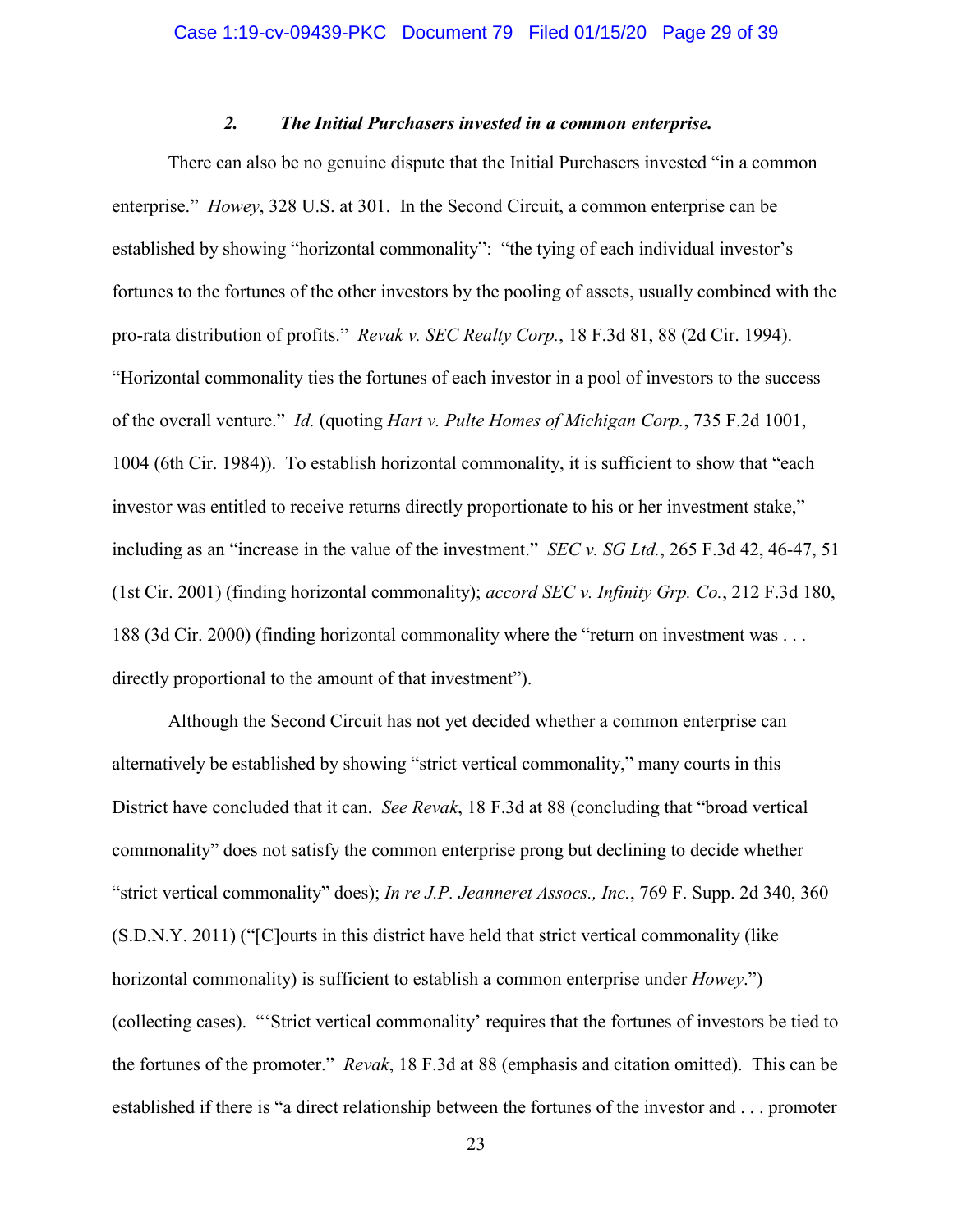### *2. The Initial Purchasers invested in a common enterprise.*

There can also be no genuine dispute that the Initial Purchasers invested "in a common enterprise." *Howey*, 328 U.S. at 301. In the Second Circuit, a common enterprise can be established by showing "horizontal commonality": "the tying of each individual investor's fortunes to the fortunes of the other investors by the pooling of assets, usually combined with the pro-rata distribution of profits." *Revak v. SEC Realty Corp.*, 18 F.3d 81, 88 (2d Cir. 1994). "Horizontal commonality ties the fortunes of each investor in a pool of investors to the success of the overall venture." *Id.* (quoting *Hart v. Pulte Homes of Michigan Corp.*, 735 F.2d 1001, 1004 (6th Cir. 1984)). To establish horizontal commonality, it is sufficient to show that "each investor was entitled to receive returns directly proportionate to his or her investment stake," including as an "increase in the value of the investment." *SEC v. SG Ltd.*, 265 F.3d 42, 46-47, 51 (1st Cir. 2001) (finding horizontal commonality); *accord SEC v. Infinity Grp. Co.*, 212 F.3d 180, 188 (3d Cir. 2000) (finding horizontal commonality where the "return on investment was . . . directly proportional to the amount of that investment").

Although the Second Circuit has not yet decided whether a common enterprise can alternatively be established by showing "strict vertical commonality," many courts in this District have concluded that it can. *See Revak*, 18 F.3d at 88 (concluding that "broad vertical commonality" does not satisfy the common enterprise prong but declining to decide whether "strict vertical commonality" does); *In re J.P. Jeanneret Assocs., Inc.*, 769 F. Supp. 2d 340, 360 (S.D.N.Y. 2011) ("[C]ourts in this district have held that strict vertical commonality (like horizontal commonality) is sufficient to establish a common enterprise under *Howey*.") (collecting cases). "'Strict vertical commonality' requires that the fortunes of investors be tied to the fortunes of the promoter." *Revak*, 18 F.3d at 88 (emphasis and citation omitted). This can be established if there is "a direct relationship between the fortunes of the investor and . . . promoter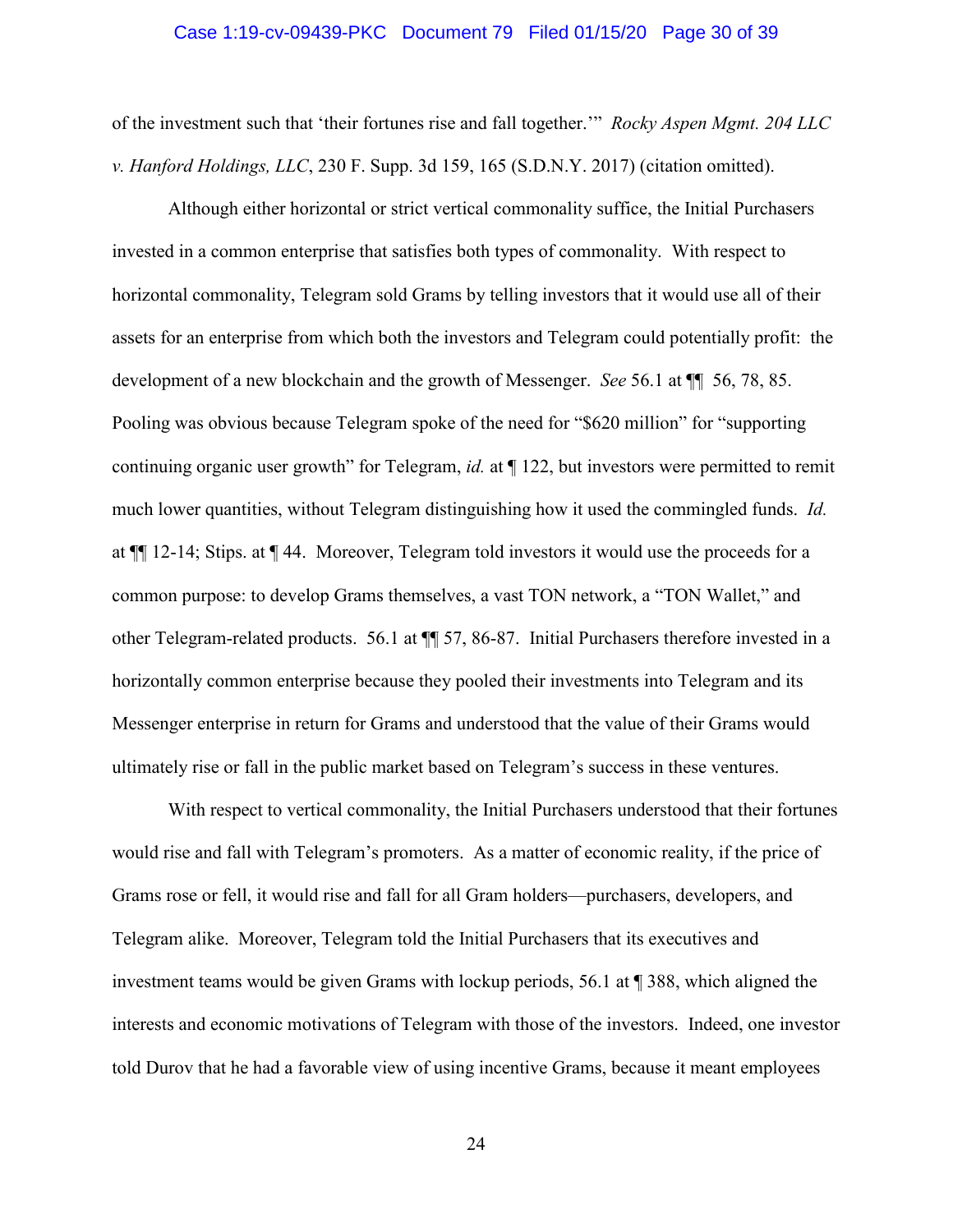#### Case 1:19-cv-09439-PKC Document 79 Filed 01/15/20 Page 30 of 39

of the investment such that 'their fortunes rise and fall together.'" *Rocky Aspen Mgmt. 204 LLC v. Hanford Holdings, LLC*, 230 F. Supp. 3d 159, 165 (S.D.N.Y. 2017) (citation omitted).

Although either horizontal or strict vertical commonality suffice, the Initial Purchasers invested in a common enterprise that satisfies both types of commonality. With respect to horizontal commonality, Telegram sold Grams by telling investors that it would use all of their assets for an enterprise from which both the investors and Telegram could potentially profit: the development of a new blockchain and the growth of Messenger. *See* 56.1 at ¶¶ 56, 78, 85. Pooling was obvious because Telegram spoke of the need for "\$620 million" for "supporting continuing organic user growth" for Telegram, *id.* at ¶ 122, but investors were permitted to remit much lower quantities, without Telegram distinguishing how it used the commingled funds. *Id.* at ¶¶ 12-14; Stips. at ¶ 44. Moreover, Telegram told investors it would use the proceeds for a common purpose: to develop Grams themselves, a vast TON network, a "TON Wallet," and other Telegram-related products. 56.1 at ¶¶ 57, 86-87. Initial Purchasers therefore invested in a horizontally common enterprise because they pooled their investments into Telegram and its Messenger enterprise in return for Grams and understood that the value of their Grams would ultimately rise or fall in the public market based on Telegram's success in these ventures.

With respect to vertical commonality, the Initial Purchasers understood that their fortunes would rise and fall with Telegram's promoters. As a matter of economic reality, if the price of Grams rose or fell, it would rise and fall for all Gram holders—purchasers, developers, and Telegram alike. Moreover, Telegram told the Initial Purchasers that its executives and investment teams would be given Grams with lockup periods, 56.1 at ¶ 388, which aligned the interests and economic motivations of Telegram with those of the investors. Indeed, one investor told Durov that he had a favorable view of using incentive Grams, because it meant employees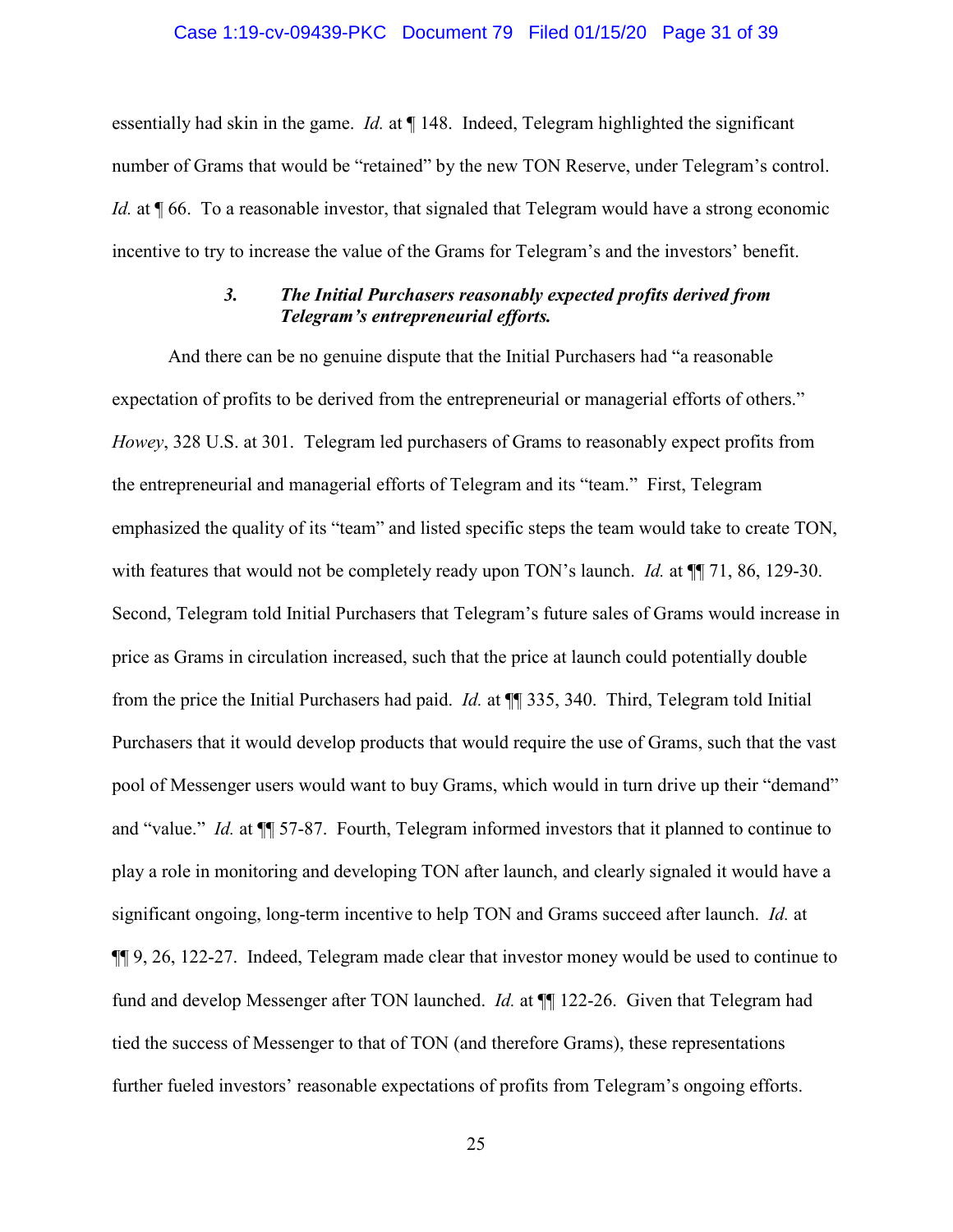#### Case 1:19-cv-09439-PKC Document 79 Filed 01/15/20 Page 31 of 39

essentially had skin in the game. *Id.* at ¶ 148. Indeed, Telegram highlighted the significant number of Grams that would be "retained" by the new TON Reserve, under Telegram's control. *Id.* at **[66.** To a reasonable investor, that signaled that Telegram would have a strong economic incentive to try to increase the value of the Grams for Telegram's and the investors' benefit.

### *3. The Initial Purchasers reasonably expected profits derived from Telegram's entrepreneurial efforts.*

And there can be no genuine dispute that the Initial Purchasers had "a reasonable expectation of profits to be derived from the entrepreneurial or managerial efforts of others." *Howey*, 328 U.S. at 301. Telegram led purchasers of Grams to reasonably expect profits from the entrepreneurial and managerial efforts of Telegram and its "team." First, Telegram emphasized the quality of its "team" and listed specific steps the team would take to create TON, with features that would not be completely ready upon TON's launch. *Id.* at  $\P$  71, 86, 129-30. Second, Telegram told Initial Purchasers that Telegram's future sales of Grams would increase in price as Grams in circulation increased, such that the price at launch could potentially double from the price the Initial Purchasers had paid. *Id.* at ¶¶ 335, 340. Third, Telegram told Initial Purchasers that it would develop products that would require the use of Grams, such that the vast pool of Messenger users would want to buy Grams, which would in turn drive up their "demand" and "value." *Id.* at ¶¶ 57-87. Fourth, Telegram informed investors that it planned to continue to play a role in monitoring and developing TON after launch, and clearly signaled it would have a significant ongoing, long-term incentive to help TON and Grams succeed after launch. *Id.* at ¶¶ 9, 26, 122-27. Indeed, Telegram made clear that investor money would be used to continue to fund and develop Messenger after TON launched. *Id.* at ¶¶ 122-26. Given that Telegram had tied the success of Messenger to that of TON (and therefore Grams), these representations further fueled investors' reasonable expectations of profits from Telegram's ongoing efforts.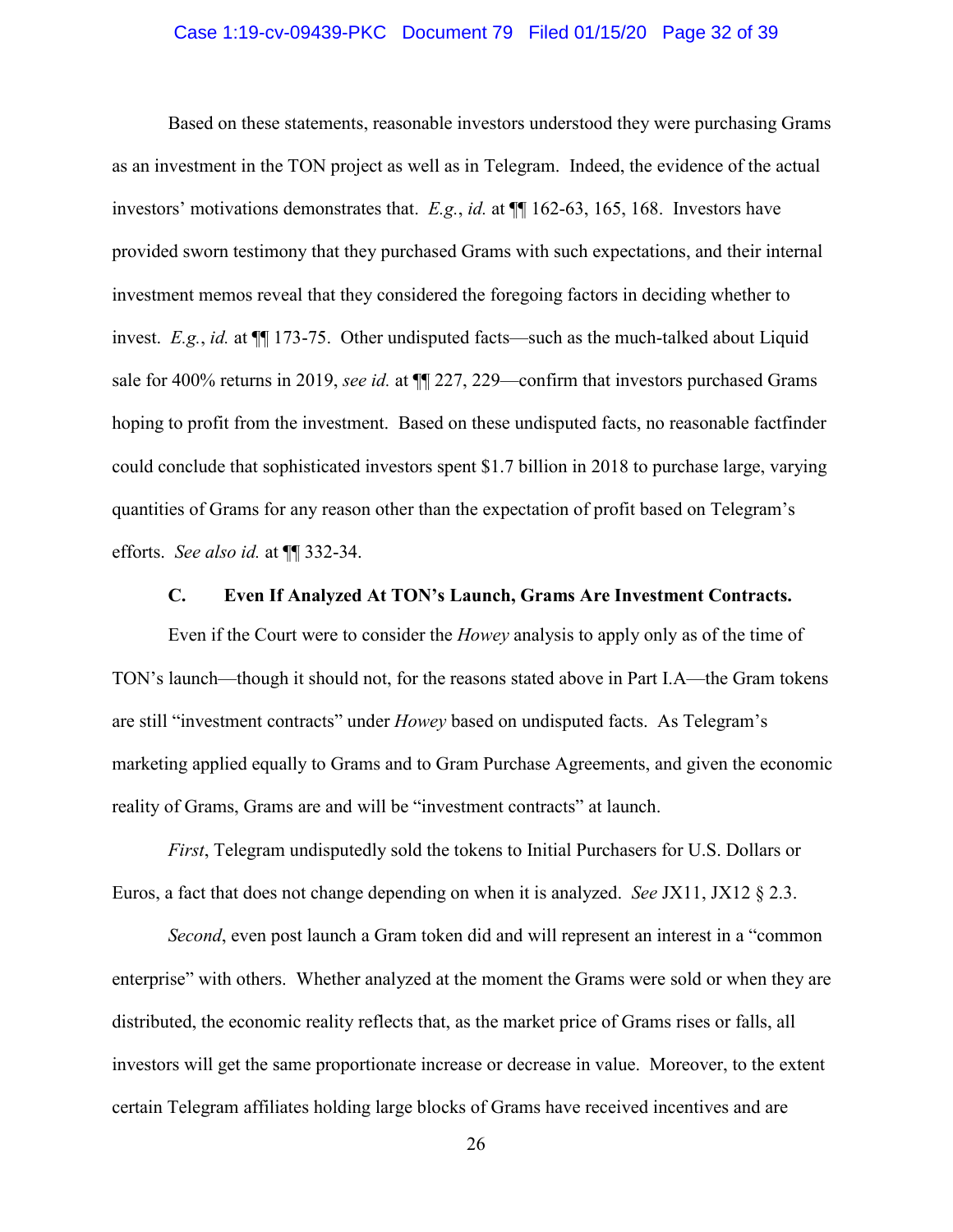#### Case 1:19-cv-09439-PKC Document 79 Filed 01/15/20 Page 32 of 39

Based on these statements, reasonable investors understood they were purchasing Grams as an investment in the TON project as well as in Telegram. Indeed, the evidence of the actual investors' motivations demonstrates that. *E.g.*, *id.* at ¶¶ 162-63, 165, 168. Investors have provided sworn testimony that they purchased Grams with such expectations, and their internal investment memos reveal that they considered the foregoing factors in deciding whether to invest. *E.g.*, *id.* at ¶¶ 173-75. Other undisputed facts—such as the much-talked about Liquid sale for 400% returns in 2019, *see id.* at ¶¶ 227, 229—confirm that investors purchased Grams hoping to profit from the investment. Based on these undisputed facts, no reasonable factfinder could conclude that sophisticated investors spent \$1.7 billion in 2018 to purchase large, varying quantities of Grams for any reason other than the expectation of profit based on Telegram's efforts. *See also id.* at ¶¶ 332-34.

#### **C. Even If Analyzed At TON's Launch, Grams Are Investment Contracts.**

Even if the Court were to consider the *Howey* analysis to apply only as of the time of TON's launch—though it should not, for the reasons stated above in Part I.A—the Gram tokens are still "investment contracts" under *Howey* based on undisputed facts. As Telegram's marketing applied equally to Grams and to Gram Purchase Agreements, and given the economic reality of Grams, Grams are and will be "investment contracts" at launch.

*First*, Telegram undisputedly sold the tokens to Initial Purchasers for U.S. Dollars or Euros, a fact that does not change depending on when it is analyzed. *See* JX11, JX12 § 2.3.

*Second*, even post launch a Gram token did and will represent an interest in a "common enterprise" with others. Whether analyzed at the moment the Grams were sold or when they are distributed, the economic reality reflects that, as the market price of Grams rises or falls, all investors will get the same proportionate increase or decrease in value. Moreover, to the extent certain Telegram affiliates holding large blocks of Grams have received incentives and are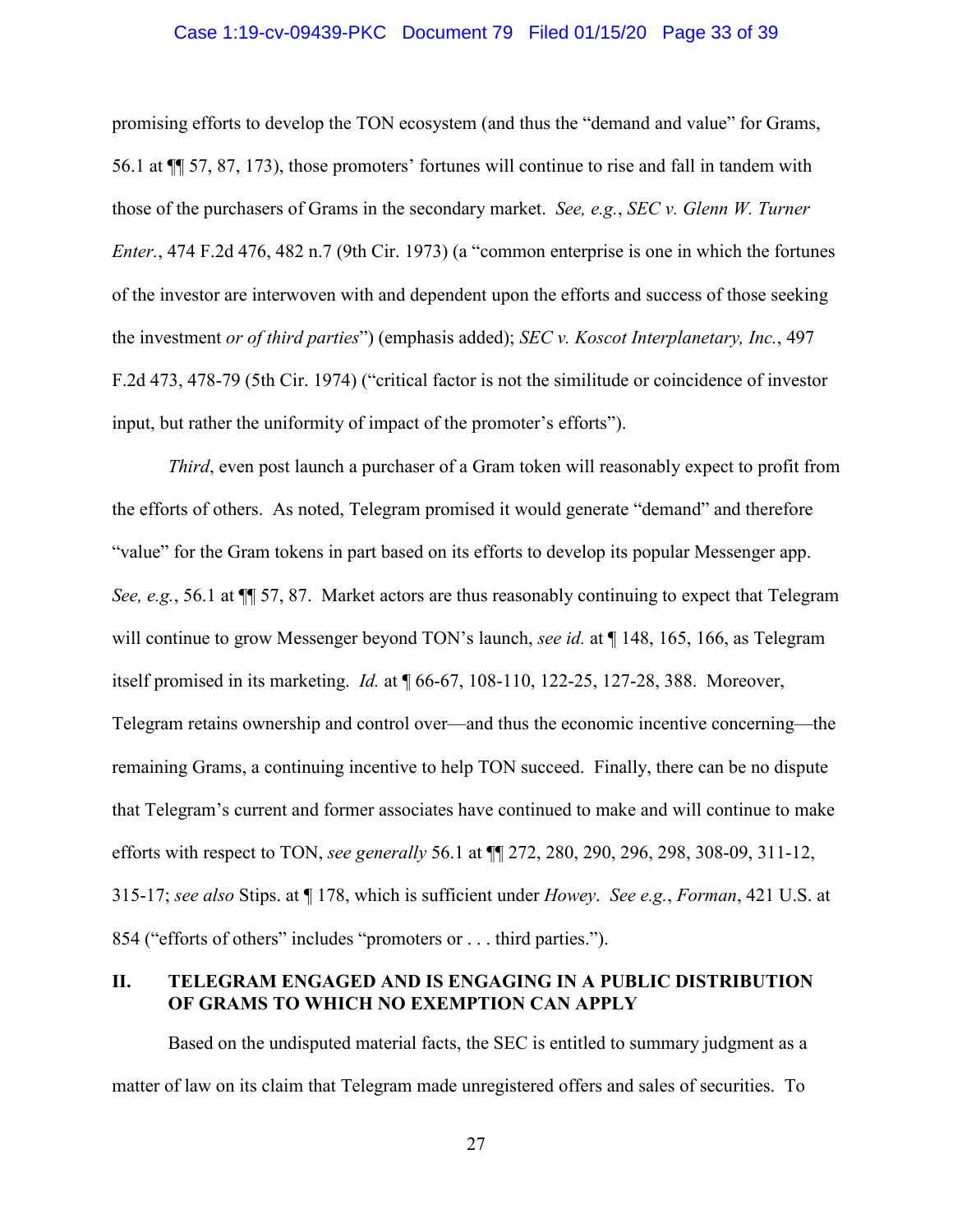#### Case 1:19-cv-09439-PKC Document 79 Filed 01/15/20 Page 33 of 39

promising efforts to develop the TON ecosystem (and thus the "demand and value" for Grams, 56.1 at ¶¶ 57, 87, 173), those promoters' fortunes will continue to rise and fall in tandem with those of the purchasers of Grams in the secondary market. *See, e.g.*, *SEC v. Glenn W. Turner Enter.*, 474 F.2d 476, 482 n.7 (9th Cir. 1973) (a "common enterprise is one in which the fortunes of the investor are interwoven with and dependent upon the efforts and success of those seeking the investment *or of third parties*") (emphasis added); *SEC v. Koscot Interplanetary, Inc.*, 497 F.2d 473, 478-79 (5th Cir. 1974) ("critical factor is not the similitude or coincidence of investor input, but rather the uniformity of impact of the promoter's efforts").

*Third*, even post launch a purchaser of a Gram token will reasonably expect to profit from the efforts of others. As noted, Telegram promised it would generate "demand" and therefore "value" for the Gram tokens in part based on its efforts to develop its popular Messenger app. *See, e.g.*, 56.1 at  $\P$  57, 87. Market actors are thus reasonably continuing to expect that Telegram will continue to grow Messenger beyond TON's launch, *see id.* at  $\P$  148, 165, 166, as Telegram itself promised in its marketing. *Id.* at ¶ 66-67, 108-110, 122-25, 127-28, 388. Moreover, Telegram retains ownership and control over—and thus the economic incentive concerning—the remaining Grams, a continuing incentive to help TON succeed. Finally, there can be no dispute that Telegram's current and former associates have continued to make and will continue to make efforts with respect to TON, *see generally* 56.1 at ¶¶ 272, 280, 290, 296, 298, 308-09, 311-12, 315-17; *see also* Stips. at ¶ 178, which is sufficient under *Howey*. *See e.g.*, *Forman*, 421 U.S. at 854 ("efforts of others" includes "promoters or . . . third parties.").

### **II. TELEGRAM ENGAGED AND IS ENGAGING IN A PUBLIC DISTRIBUTION OF GRAMS TO WHICH NO EXEMPTION CAN APPLY**

Based on the undisputed material facts, the SEC is entitled to summary judgment as a matter of law on its claim that Telegram made unregistered offers and sales of securities. To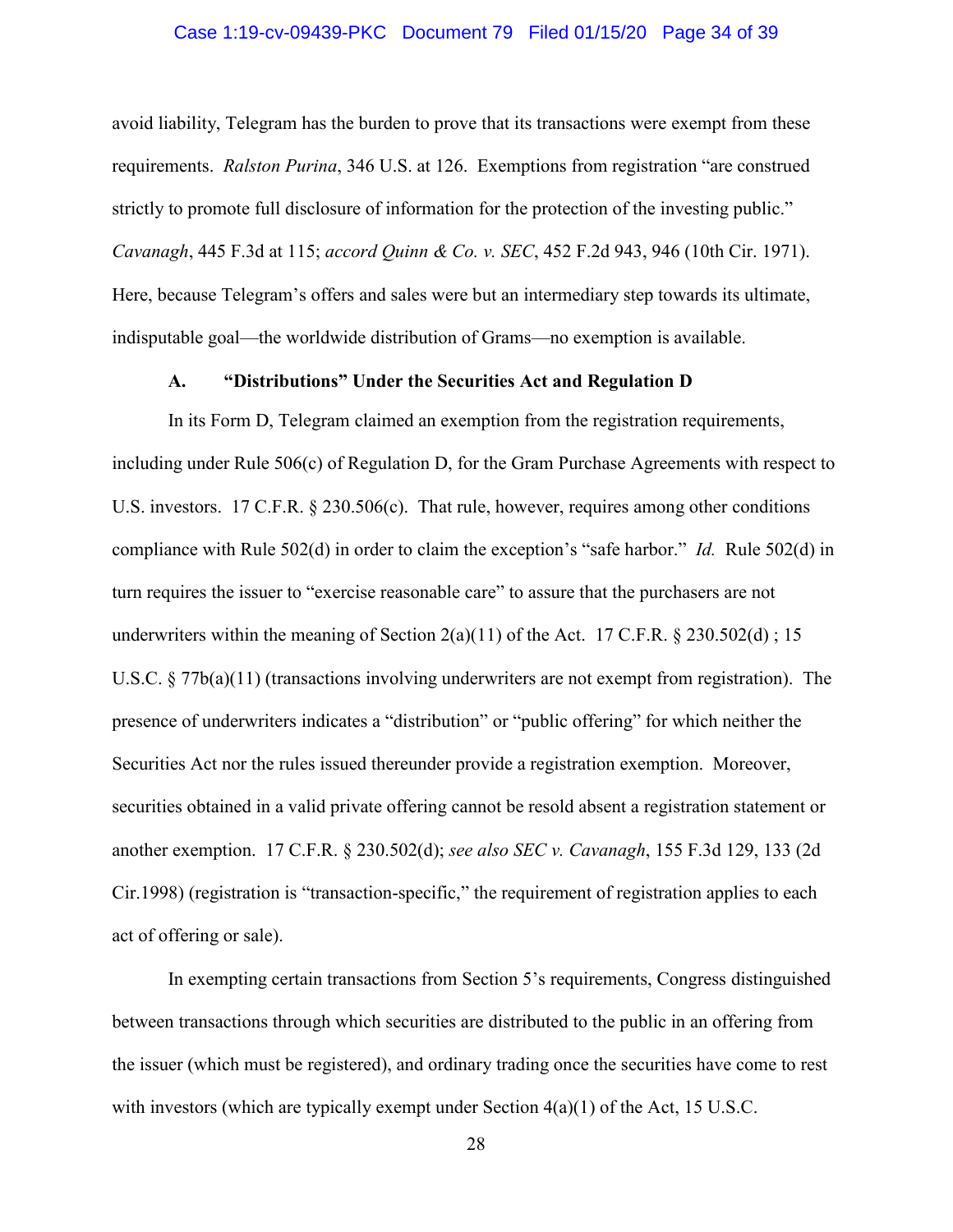#### Case 1:19-cv-09439-PKC Document 79 Filed 01/15/20 Page 34 of 39

avoid liability, Telegram has the burden to prove that its transactions were exempt from these requirements. *Ralston Purina*, 346 U.S. at 126. Exemptions from registration "are construed strictly to promote full disclosure of information for the protection of the investing public." *Cavanagh*, 445 F.3d at 115; *accord Quinn & Co. v. SEC*, 452 F.2d 943, 946 (10th Cir. 1971). Here, because Telegram's offers and sales were but an intermediary step towards its ultimate, indisputable goal—the worldwide distribution of Grams—no exemption is available.

## **A. "Distributions" Under the Securities Act and Regulation D**

In its Form D, Telegram claimed an exemption from the registration requirements, including under Rule 506(c) of Regulation D, for the Gram Purchase Agreements with respect to U.S. investors. 17 C.F.R. § 230.506(c). That rule, however, requires among other conditions compliance with Rule 502(d) in order to claim the exception's "safe harbor." *Id.* Rule 502(d) in turn requires the issuer to "exercise reasonable care" to assure that the purchasers are not underwriters within the meaning of Section  $2(a)(11)$  of the Act. 17 C.F.R. § 230.502(d); 15 U.S.C.  $\S 77b(a)(11)$  (transactions involving underwriters are not exempt from registration). The presence of underwriters indicates a "distribution" or "public offering" for which neither the Securities Act nor the rules issued thereunder provide a registration exemption. Moreover, securities obtained in a valid private offering cannot be resold absent a registration statement or another exemption. 17 C.F.R. § 230.502(d); *see also SEC v. Cavanagh*, 155 F.3d 129, 133 (2d Cir.1998) (registration is "transaction-specific," the requirement of registration applies to each act of offering or sale).

In exempting certain transactions from Section 5's requirements, Congress distinguished between transactions through which securities are distributed to the public in an offering from the issuer (which must be registered), and ordinary trading once the securities have come to rest with investors (which are typically exempt under Section  $4(a)(1)$  of the Act, 15 U.S.C.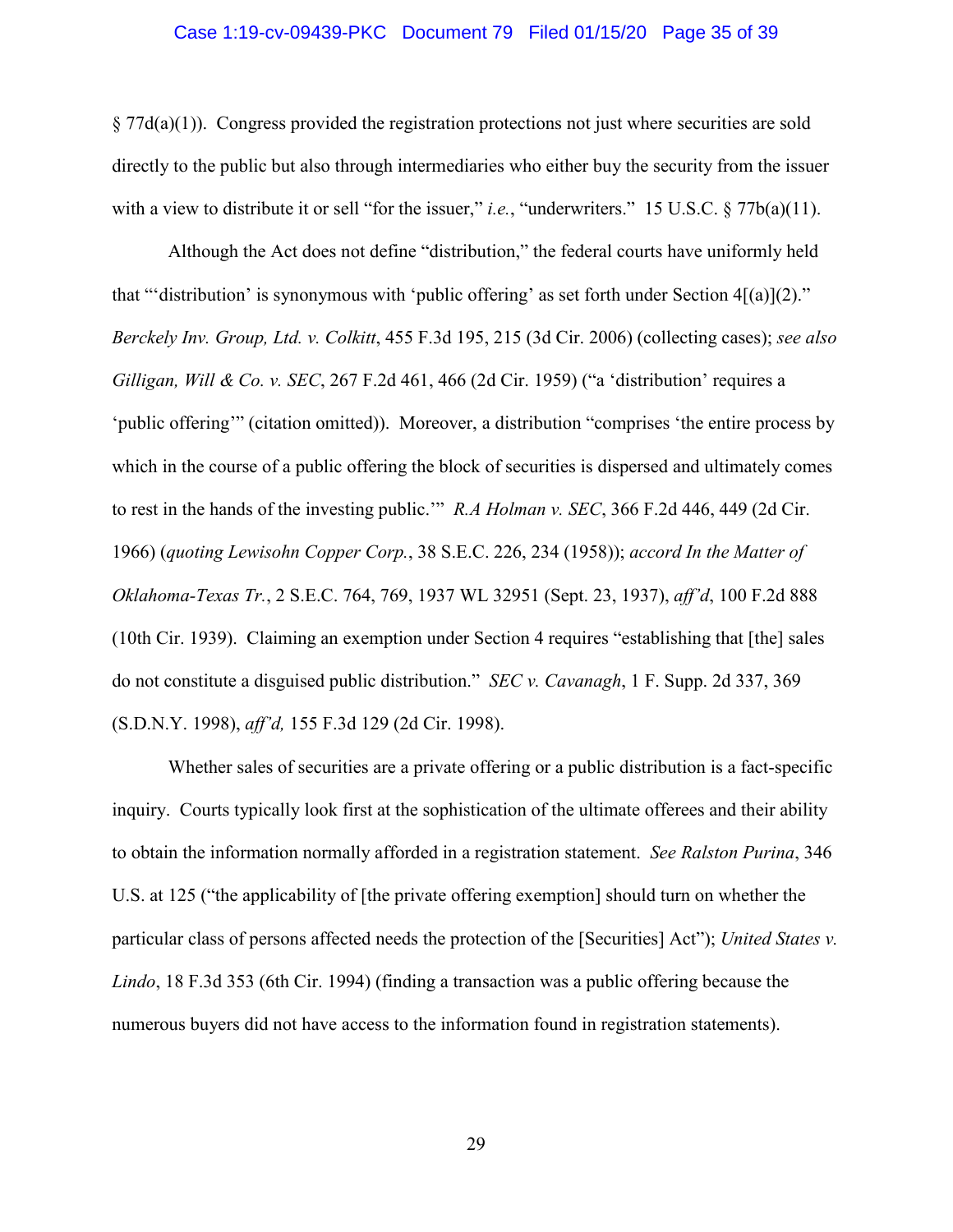#### Case 1:19-cv-09439-PKC Document 79 Filed 01/15/20 Page 35 of 39

 $§ 77d(a)(1)$ . Congress provided the registration protections not just where securities are sold directly to the public but also through intermediaries who either buy the security from the issuer with a view to distribute it or sell "for the issuer," *i.e.*, "underwriters." 15 U.S.C. § 77b(a)(11).

Although the Act does not define "distribution," the federal courts have uniformly held that ""distribution" is synonymous with 'public offering' as set forth under Section  $4[(a)](2)$ ." *Berckely Inv. Group, Ltd. v. Colkitt*, 455 F.3d 195, 215 (3d Cir. 2006) (collecting cases); *see also Gilligan, Will & Co. v. SEC*, 267 F.2d 461, 466 (2d Cir. 1959) ("a 'distribution' requires a 'public offering'" (citation omitted)). Moreover, a distribution "comprises 'the entire process by which in the course of a public offering the block of securities is dispersed and ultimately comes to rest in the hands of the investing public.'" *R.A Holman v. SEC*, 366 F.2d 446, 449 (2d Cir. 1966) (*quoting Lewisohn Copper Corp.*, 38 S.E.C. 226, 234 (1958)); *accord In the Matter of Oklahoma-Texas Tr.*, 2 S.E.C. 764, 769, 1937 WL 32951 (Sept. 23, 1937), *aff'd*, 100 F.2d 888 (10th Cir. 1939). Claiming an exemption under Section 4 requires "establishing that [the] sales do not constitute a disguised public distribution." *SEC v. Cavanagh*, 1 F. Supp. 2d 337, 369 (S.D.N.Y. 1998), *aff'd,* 155 F.3d 129 (2d Cir. 1998).

Whether sales of securities are a private offering or a public distribution is a fact-specific inquiry. Courts typically look first at the sophistication of the ultimate offerees and their ability to obtain the information normally afforded in a registration statement. *See Ralston Purina*, 346 U.S. at 125 ("the applicability of [the private offering exemption] should turn on whether the particular class of persons affected needs the protection of the [Securities] Act"); *United States v. Lindo*, 18 F.3d 353 (6th Cir. 1994) (finding a transaction was a public offering because the numerous buyers did not have access to the information found in registration statements).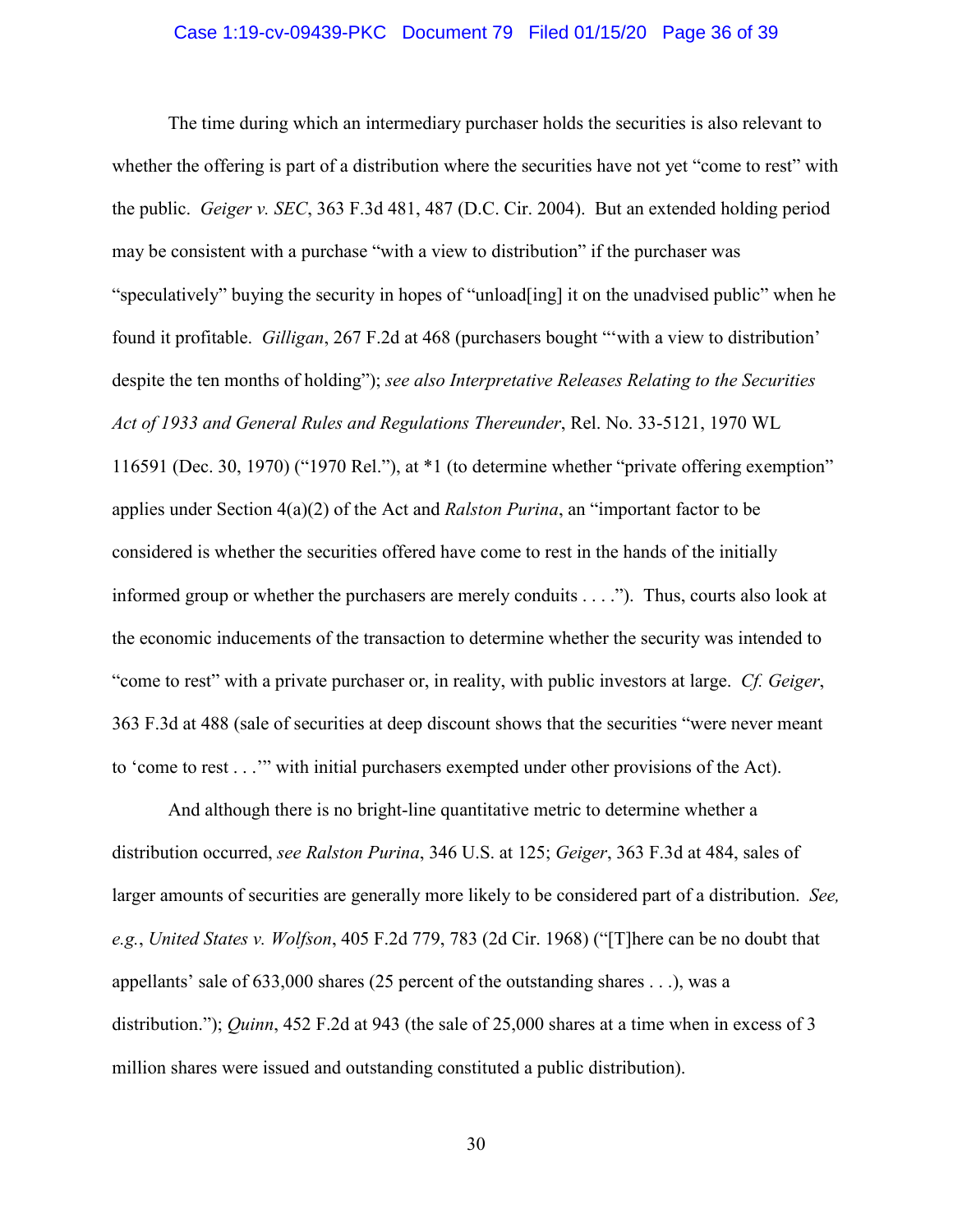#### Case 1:19-cv-09439-PKC Document 79 Filed 01/15/20 Page 36 of 39

The time during which an intermediary purchaser holds the securities is also relevant to whether the offering is part of a distribution where the securities have not yet "come to rest" with the public. *Geiger v. SEC*, 363 F.3d 481, 487 (D.C. Cir. 2004). But an extended holding period may be consistent with a purchase "with a view to distribution" if the purchaser was "speculatively" buying the security in hopes of "unload[ing] it on the unadvised public" when he found it profitable. *Gilligan*, 267 F.2d at 468 (purchasers bought "'with a view to distribution' despite the ten months of holding"); *see also Interpretative Releases Relating to the Securities Act of 1933 and General Rules and Regulations Thereunder*, Rel. No. 33-5121, 1970 WL 116591 (Dec. 30, 1970) ("1970 Rel."), at \*1 (to determine whether "private offering exemption" applies under Section 4(a)(2) of the Act and *Ralston Purina*, an "important factor to be considered is whether the securities offered have come to rest in the hands of the initially informed group or whether the purchasers are merely conduits . . . ."). Thus, courts also look at the economic inducements of the transaction to determine whether the security was intended to "come to rest" with a private purchaser or, in reality, with public investors at large. *Cf. Geiger*, 363 F.3d at 488 (sale of securities at deep discount shows that the securities "were never meant to 'come to rest . . .'" with initial purchasers exempted under other provisions of the Act).

And although there is no bright-line quantitative metric to determine whether a distribution occurred, *see Ralston Purina*, 346 U.S. at 125; *Geiger*, 363 F.3d at 484, sales of larger amounts of securities are generally more likely to be considered part of a distribution. *See, e.g.*, *United States v. Wolfson*, 405 F.2d 779, 783 (2d Cir. 1968) ("[T]here can be no doubt that appellants' sale of 633,000 shares (25 percent of the outstanding shares . . .), was a distribution."); *Quinn*, 452 F.2d at 943 (the sale of 25,000 shares at a time when in excess of 3 million shares were issued and outstanding constituted a public distribution).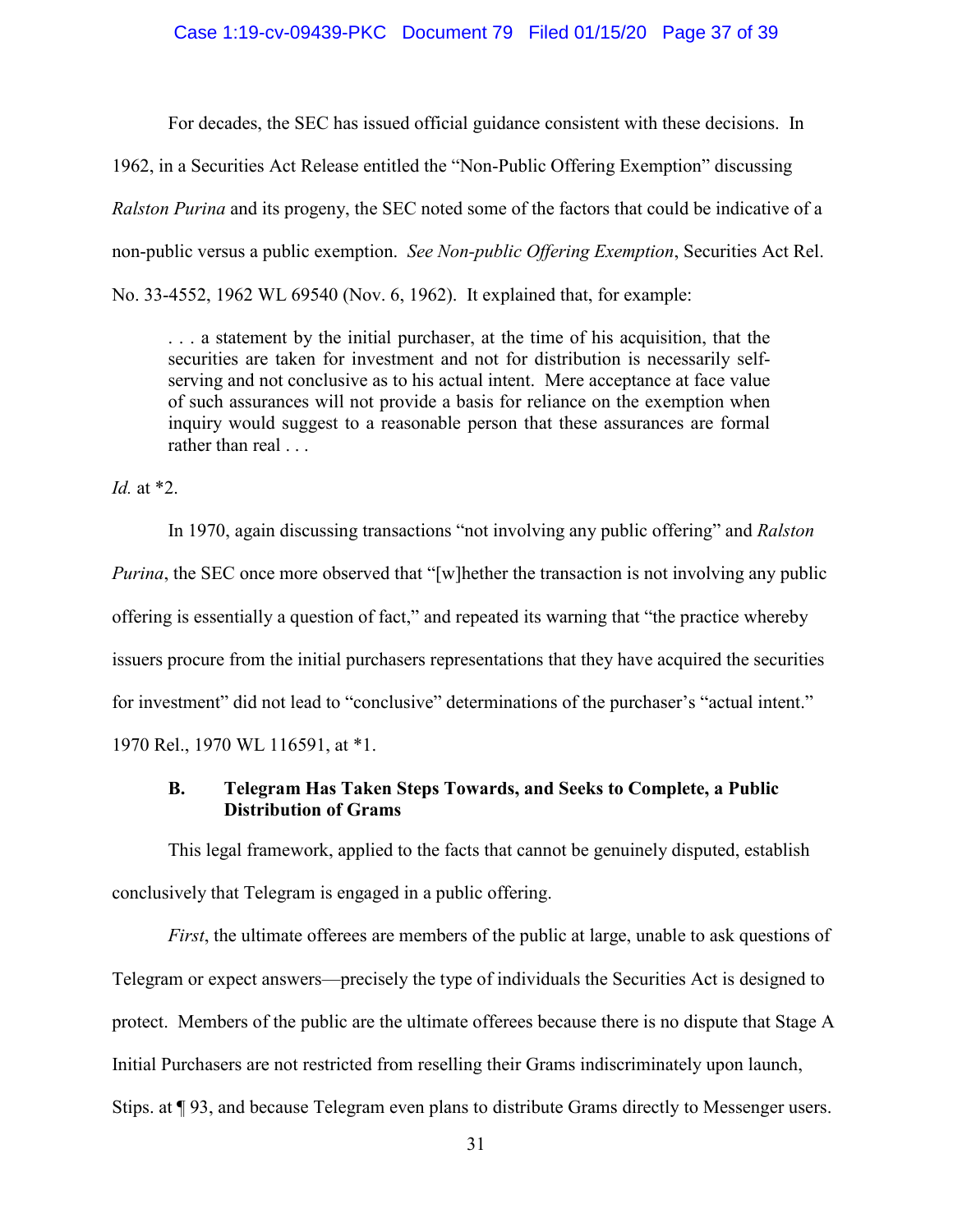#### Case 1:19-cv-09439-PKC Document 79 Filed 01/15/20 Page 37 of 39

For decades, the SEC has issued official guidance consistent with these decisions. In

1962, in a Securities Act Release entitled the "Non-Public Offering Exemption" discussing *Ralston Purina* and its progeny, the SEC noted some of the factors that could be indicative of a non-public versus a public exemption. *See Non-public Offering Exemption*, Securities Act Rel. No. 33-4552, 1962 WL 69540 (Nov. 6, 1962). It explained that, for example:

. . . a statement by the initial purchaser, at the time of his acquisition, that the securities are taken for investment and not for distribution is necessarily selfserving and not conclusive as to his actual intent. Mere acceptance at face value of such assurances will not provide a basis for reliance on the exemption when inquiry would suggest to a reasonable person that these assurances are formal rather than real . . .

*Id.* at \*2.

 In 1970, again discussing transactions "not involving any public offering" and *Ralston Purina*, the SEC once more observed that "[w]hether the transaction is not involving any public offering is essentially a question of fact," and repeated its warning that "the practice whereby issuers procure from the initial purchasers representations that they have acquired the securities for investment" did not lead to "conclusive" determinations of the purchaser's "actual intent." 1970 Rel., 1970 WL 116591, at \*1.

# **B. Telegram Has Taken Steps Towards, and Seeks to Complete, a Public Distribution of Grams**

This legal framework, applied to the facts that cannot be genuinely disputed, establish conclusively that Telegram is engaged in a public offering.

*First*, the ultimate offerees are members of the public at large, unable to ask questions of Telegram or expect answers—precisely the type of individuals the Securities Act is designed to protect. Members of the public are the ultimate offerees because there is no dispute that Stage A Initial Purchasers are not restricted from reselling their Grams indiscriminately upon launch, Stips. at ¶ 93, and because Telegram even plans to distribute Grams directly to Messenger users.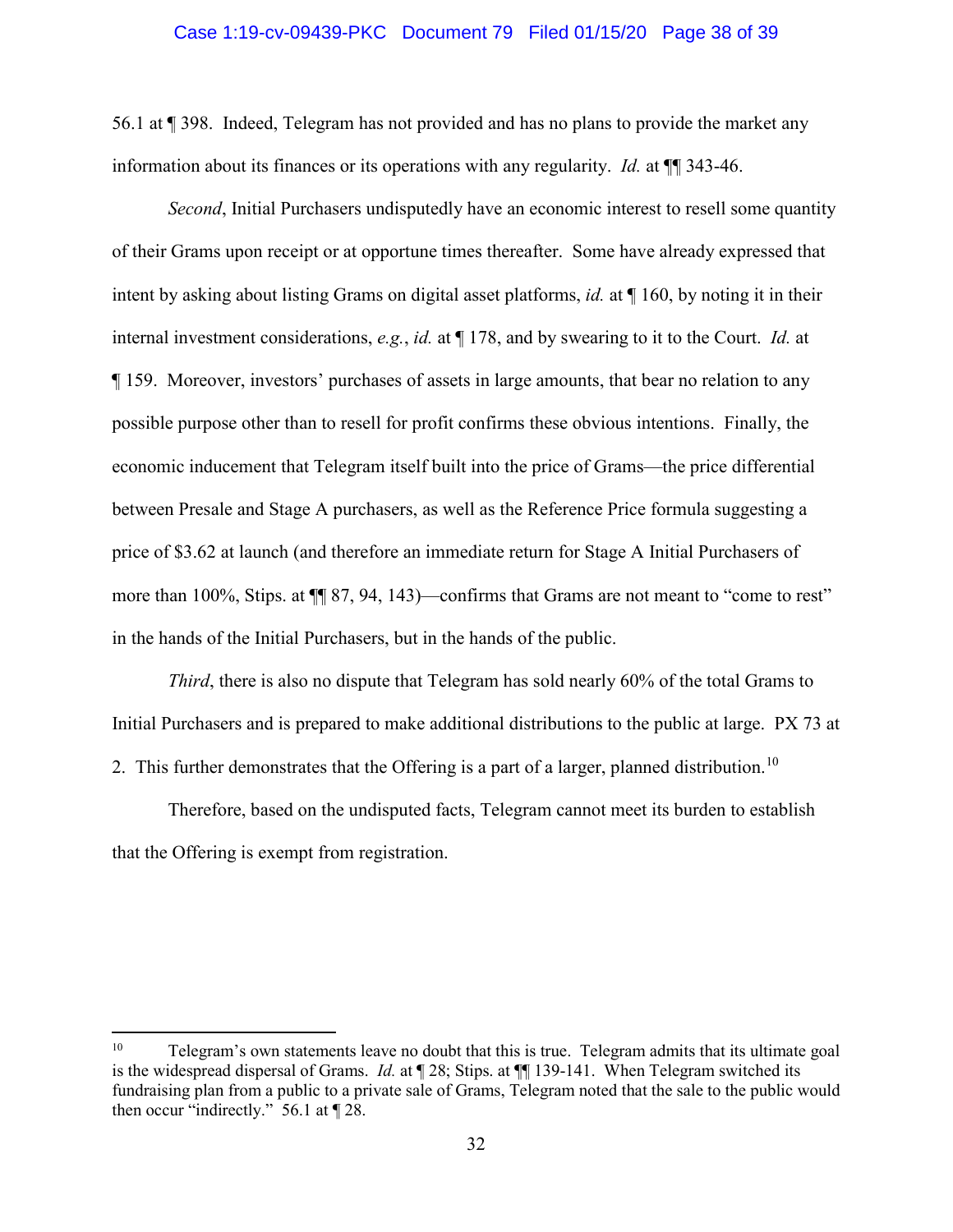#### Case 1:19-cv-09439-PKC Document 79 Filed 01/15/20 Page 38 of 39

56.1 at ¶ 398. Indeed, Telegram has not provided and has no plans to provide the market any information about its finances or its operations with any regularity. *Id.* at ¶¶ 343-46.

*Second*, Initial Purchasers undisputedly have an economic interest to resell some quantity of their Grams upon receipt or at opportune times thereafter. Some have already expressed that intent by asking about listing Grams on digital asset platforms, *id.* at ¶ 160, by noting it in their internal investment considerations, *e.g.*, *id.* at ¶ 178, and by swearing to it to the Court. *Id.* at ¶ 159. Moreover, investors' purchases of assets in large amounts, that bear no relation to any possible purpose other than to resell for profit confirms these obvious intentions. Finally, the economic inducement that Telegram itself built into the price of Grams—the price differential between Presale and Stage A purchasers, as well as the Reference Price formula suggesting a price of \$3.62 at launch (and therefore an immediate return for Stage A Initial Purchasers of more than 100%, Stips. at ¶¶ 87, 94, 143)—confirms that Grams are not meant to "come to rest" in the hands of the Initial Purchasers, but in the hands of the public.

*Third*, there is also no dispute that Telegram has sold nearly 60% of the total Grams to Initial Purchasers and is prepared to make additional distributions to the public at large. PX 73 at 2. This further demonstrates that the Offering is a part of a larger, planned distribution.<sup>10</sup>

Therefore, based on the undisputed facts, Telegram cannot meet its burden to establish that the Offering is exempt from registration.

 $10\,$ 10 Telegram's own statements leave no doubt that this is true. Telegram admits that its ultimate goal is the widespread dispersal of Grams. *Id.* at ¶ 28; Stips. at ¶¶ 139-141. When Telegram switched its fundraising plan from a public to a private sale of Grams, Telegram noted that the sale to the public would then occur "indirectly." 56.1 at ¶ 28.